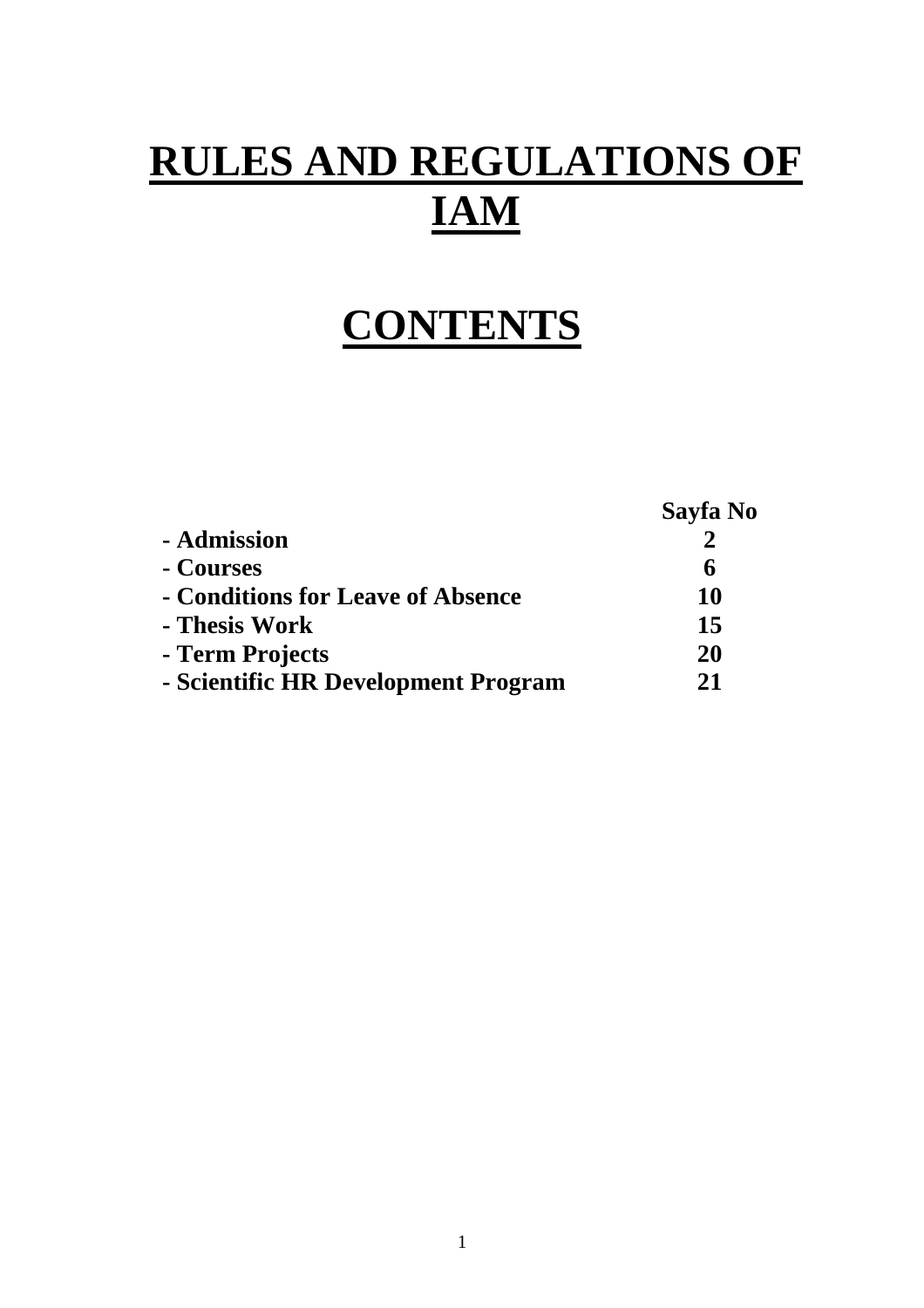# **RULES AND REGULATIONS OF IAM**

# **CONTENTS**

|                                     | Sayfa No |
|-------------------------------------|----------|
| - Admission                         |          |
| - Courses                           |          |
| - Conditions for Leave of Absence   | 10       |
| - Thesis Work                       | 15       |
| - Term Projects                     | 20       |
| - Scientific HR Development Program | 21       |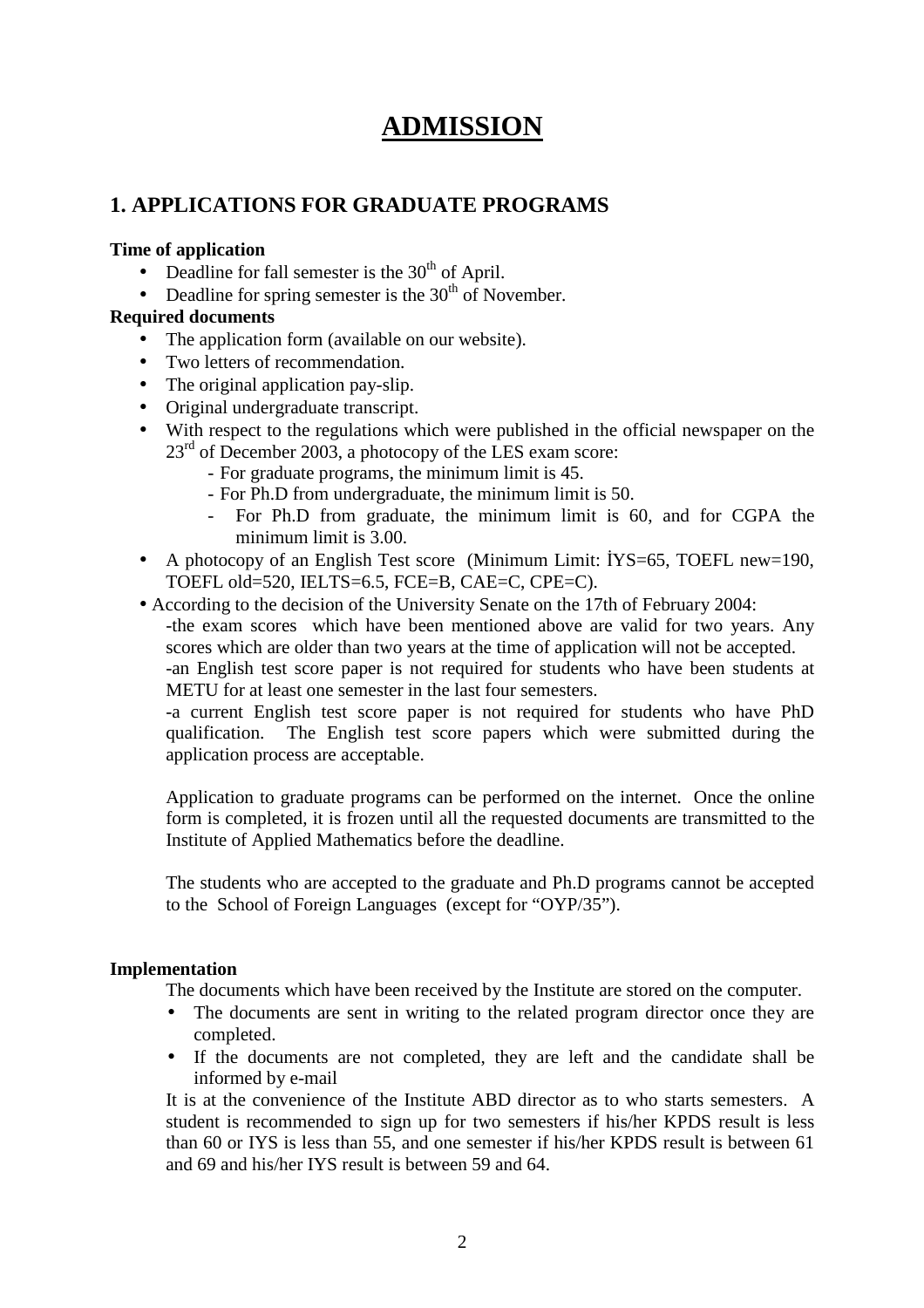## **ADMISSION**

## **1. APPLICATIONS FOR GRADUATE PROGRAMS**

#### **Time of application**

- Deadline for fall semester is the  $30<sup>th</sup>$  of April.
- Deadline for spring semester is the  $30<sup>th</sup>$  of November.

#### **Required documents**

- The application form (available on our website).
- Two letters of recommendation.
- The original application pay-slip.
- Original undergraduate transcript.
- With respect to the regulations which were published in the official newspaper on the  $23<sup>rd</sup>$  of December 2003, a photocopy of the LES exam score:
	- For graduate programs, the minimum limit is 45.
	- For Ph.D from undergraduate, the minimum limit is 50.
	- For Ph.D from graduate, the minimum limit is 60, and for CGPA the minimum limit is 3.00.
- A photocopy of an English Test score (Minimum Limit:  $IYS=65$ , TOEFL new=190, TOEFL old=520, IELTS=6.5, FCE=B, CAE=C, CPE=C).
- According to the decision of the University Senate on the 17th of February 2004:

-the exam scores which have been mentioned above are valid for two years. Any scores which are older than two years at the time of application will not be accepted. -an English test score paper is not required for students who have been students at

METU for at least one semester in the last four semesters.

-a current English test score paper is not required for students who have PhD qualification. The English test score papers which were submitted during the application process are acceptable.

Application to graduate programs can be performed on the internet. Once the online form is completed, it is frozen until all the requested documents are transmitted to the Institute of Applied Mathematics before the deadline.

The students who are accepted to the graduate and Ph.D programs cannot be accepted to the School of Foreign Languages (except for "OYP/35").

#### **Implementation**

The documents which have been received by the Institute are stored on the computer.

- The documents are sent in writing to the related program director once they are completed.
- If the documents are not completed, they are left and the candidate shall be informed by e-mail

It is at the convenience of the Institute ABD director as to who starts semesters. A student is recommended to sign up for two semesters if his/her KPDS result is less than 60 or IYS is less than 55, and one semester if his/her KPDS result is between 61 and 69 and his/her IYS result is between 59 and 64.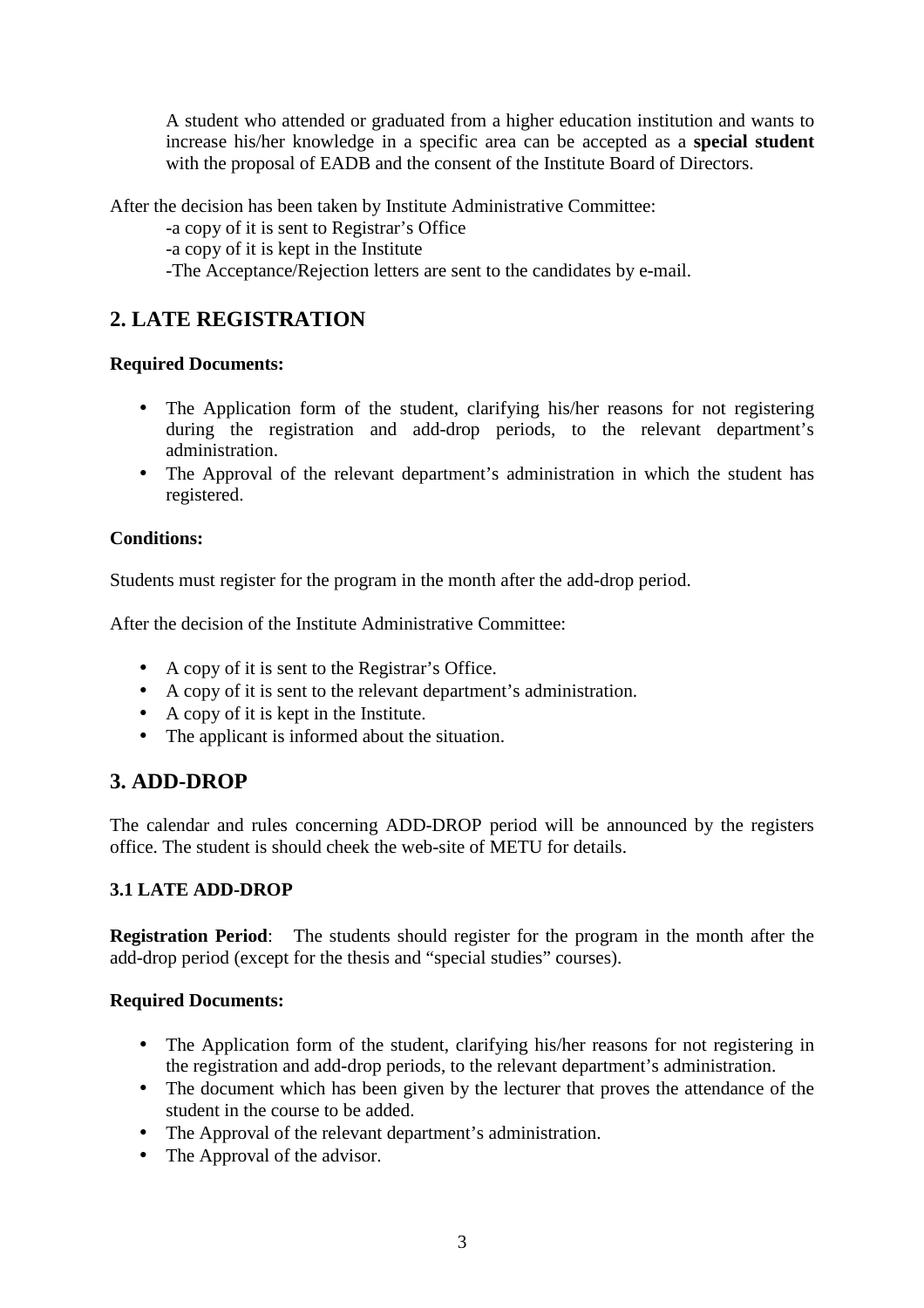A student who attended or graduated from a higher education institution and wants to increase his/her knowledge in a specific area can be accepted as a **special student** with the proposal of EADB and the consent of the Institute Board of Directors.

After the decision has been taken by Institute Administrative Committee:

-a copy of it is sent to Registrar's Office

-a copy of it is kept in the Institute

-The Acceptance/Rejection letters are sent to the candidates by e-mail.

## **2. LATE REGISTRATION**

#### **Required Documents:**

- The Application form of the student, clarifying his/her reasons for not registering during the registration and add-drop periods, to the relevant department's administration.
- The Approval of the relevant department's administration in which the student has registered.

#### **Conditions:**

Students must register for the program in the month after the add-drop period.

After the decision of the Institute Administrative Committee:

- A copy of it is sent to the Registrar's Office.
- A copy of it is sent to the relevant department's administration.
- A copy of it is kept in the Institute.
- The applicant is informed about the situation.

## **3. ADD-DROP**

The calendar and rules concerning ADD-DROP period will be announced by the registers office. The student is should cheek the web-site of METU for details.

#### **3.1 LATE ADD-DROP**

**Registration Period**: The students should register for the program in the month after the add-drop period (except for the thesis and "special studies" courses).

#### **Required Documents:**

- The Application form of the student, clarifying his/her reasons for not registering in the registration and add-drop periods, to the relevant department's administration.
- The document which has been given by the lecturer that proves the attendance of the student in the course to be added.
- The Approval of the relevant department's administration.
- The Approval of the advisor.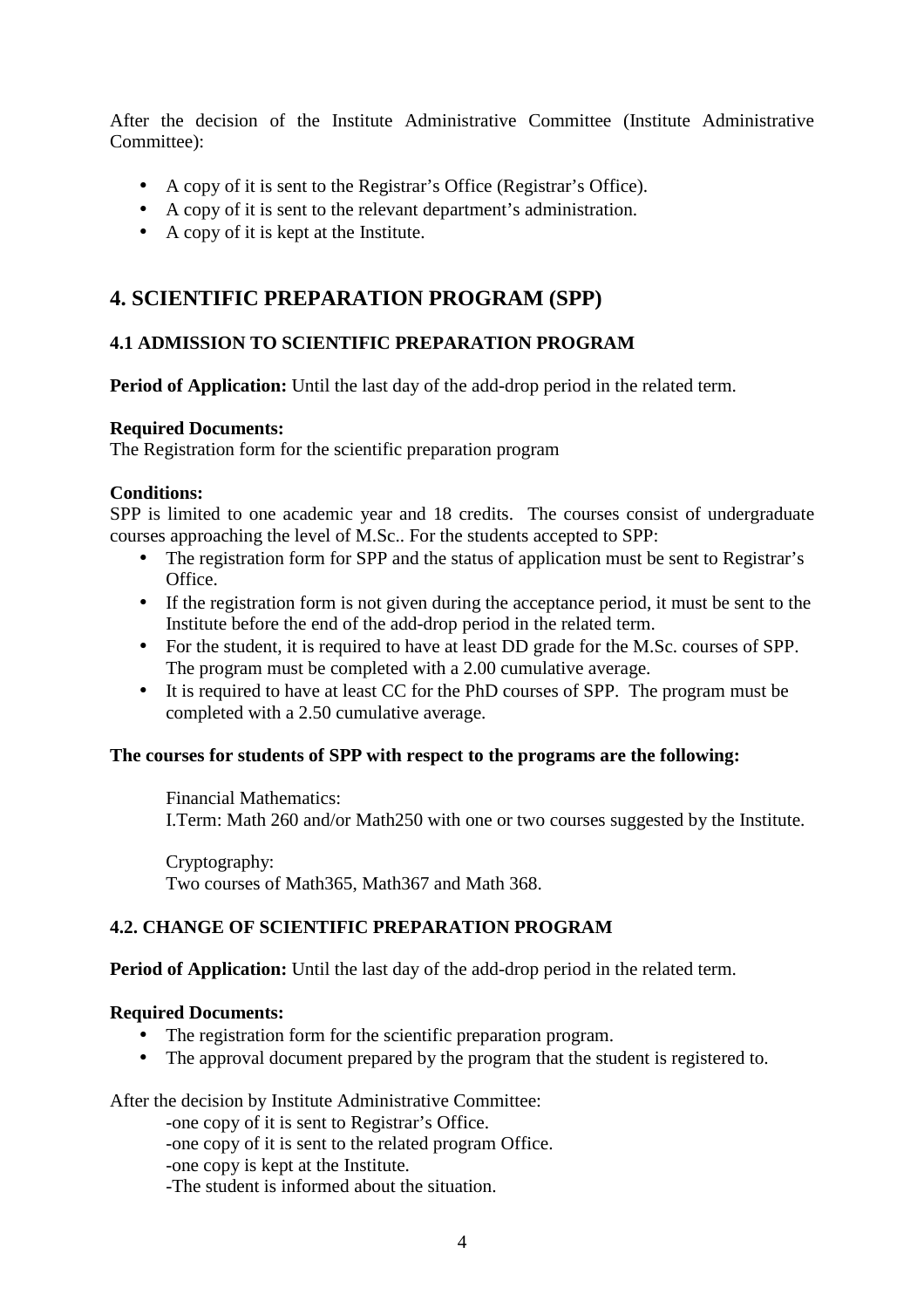After the decision of the Institute Administrative Committee (Institute Administrative Committee):

- A copy of it is sent to the Registrar's Office (Registrar's Office).
- A copy of it is sent to the relevant department's administration.
- A copy of it is kept at the Institute.

## **4. SCIENTIFIC PREPARATION PROGRAM (SPP)**

#### **4.1 ADMISSION TO SCIENTIFIC PREPARATION PROGRAM**

**Period of Application:** Until the last day of the add-drop period in the related term.

#### **Required Documents:**

The Registration form for the scientific preparation program

#### **Conditions:**

SPP is limited to one academic year and 18 credits. The courses consist of undergraduate courses approaching the level of M.Sc.. For the students accepted to SPP:

- The registration form for SPP and the status of application must be sent to Registrar's Office.
- If the registration form is not given during the acceptance period, it must be sent to the Institute before the end of the add-drop period in the related term.
- For the student, it is required to have at least DD grade for the M.Sc. courses of SPP. The program must be completed with a 2.00 cumulative average.
- It is required to have at least CC for the PhD courses of SPP. The program must be completed with a 2.50 cumulative average.

#### **The courses for students of SPP with respect to the programs are the following:**

Financial Mathematics: I.Term: Math 260 and/or Math250 with one or two courses suggested by the Institute.

Cryptography: Two courses of Math365, Math367 and Math 368.

#### **4.2. CHANGE OF SCIENTIFIC PREPARATION PROGRAM**

**Period of Application:** Until the last day of the add-drop period in the related term.

#### **Required Documents:**

- The registration form for the scientific preparation program.
- The approval document prepared by the program that the student is registered to.

After the decision by Institute Administrative Committee:

-one copy of it is sent to Registrar's Office.

-one copy of it is sent to the related program Office.

-one copy is kept at the Institute.

-The student is informed about the situation.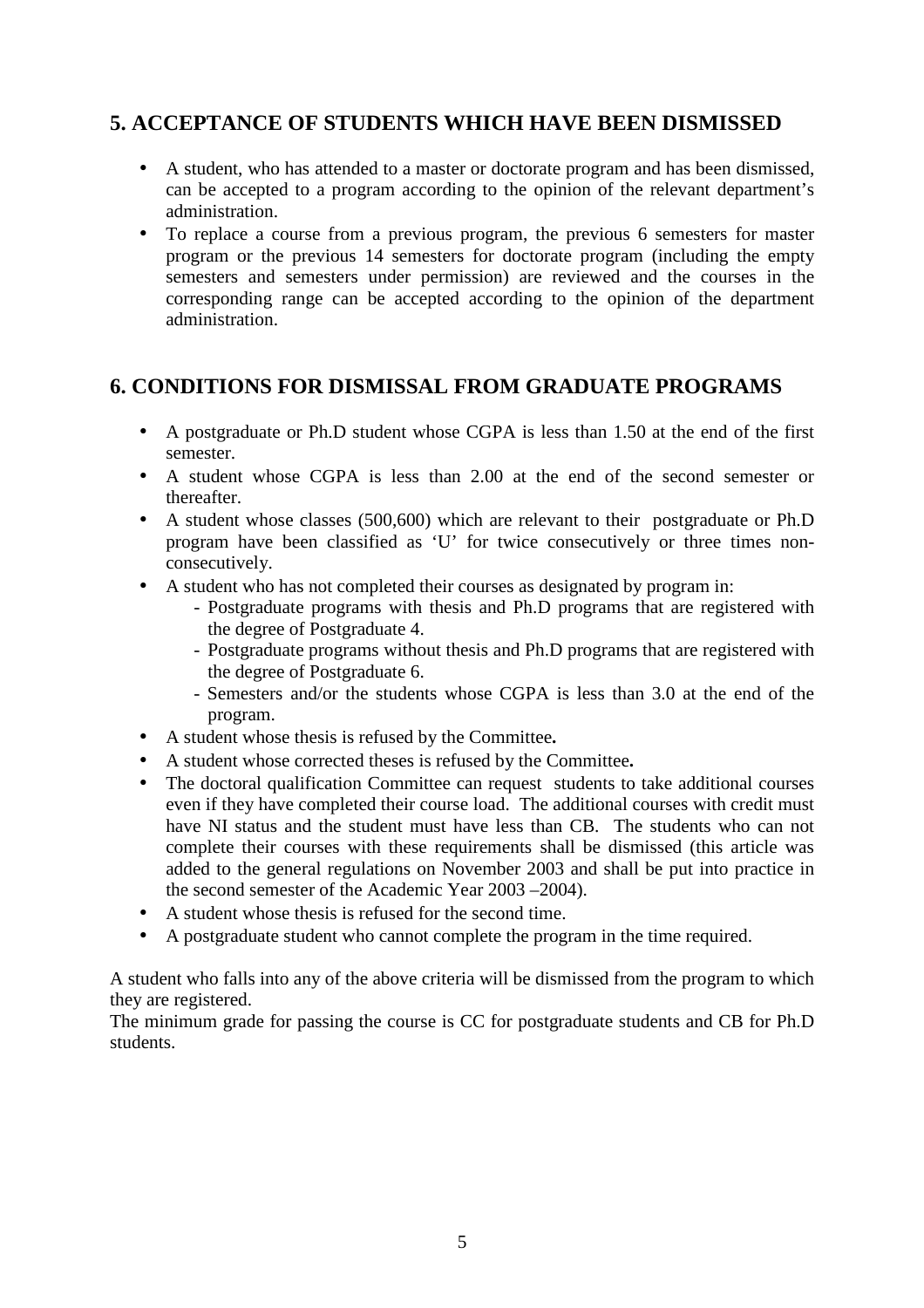## **5. ACCEPTANCE OF STUDENTS WHICH HAVE BEEN DISMISSED**

- A student, who has attended to a master or doctorate program and has been dismissed, can be accepted to a program according to the opinion of the relevant department's administration.
- To replace a course from a previous program, the previous 6 semesters for master program or the previous 14 semesters for doctorate program (including the empty semesters and semesters under permission) are reviewed and the courses in the corresponding range can be accepted according to the opinion of the department administration.

## **6. CONDITIONS FOR DISMISSAL FROM GRADUATE PROGRAMS**

- A postgraduate or Ph.D student whose CGPA is less than 1.50 at the end of the first semester.
- A student whose CGPA is less than 2.00 at the end of the second semester or thereafter.
- A student whose classes (500,600) which are relevant to their postgraduate or Ph.D program have been classified as 'U' for twice consecutively or three times nonconsecutively.
- A student who has not completed their courses as designated by program in:
	- Postgraduate programs with thesis and Ph.D programs that are registered with the degree of Postgraduate 4.
	- Postgraduate programs without thesis and Ph.D programs that are registered with the degree of Postgraduate 6.
	- Semesters and/or the students whose CGPA is less than 3.0 at the end of the program.
- A student whose thesis is refused by the Committee**.**
- A student whose corrected theses is refused by the Committee**.**
- The doctoral qualification Committee can request students to take additional courses even if they have completed their course load. The additional courses with credit must have NI status and the student must have less than CB. The students who can not complete their courses with these requirements shall be dismissed (this article was added to the general regulations on November 2003 and shall be put into practice in the second semester of the Academic Year 2003 –2004).
- A student whose thesis is refused for the second time.
- A postgraduate student who cannot complete the program in the time required.

A student who falls into any of the above criteria will be dismissed from the program to which they are registered.

The minimum grade for passing the course is CC for postgraduate students and CB for Ph.D students.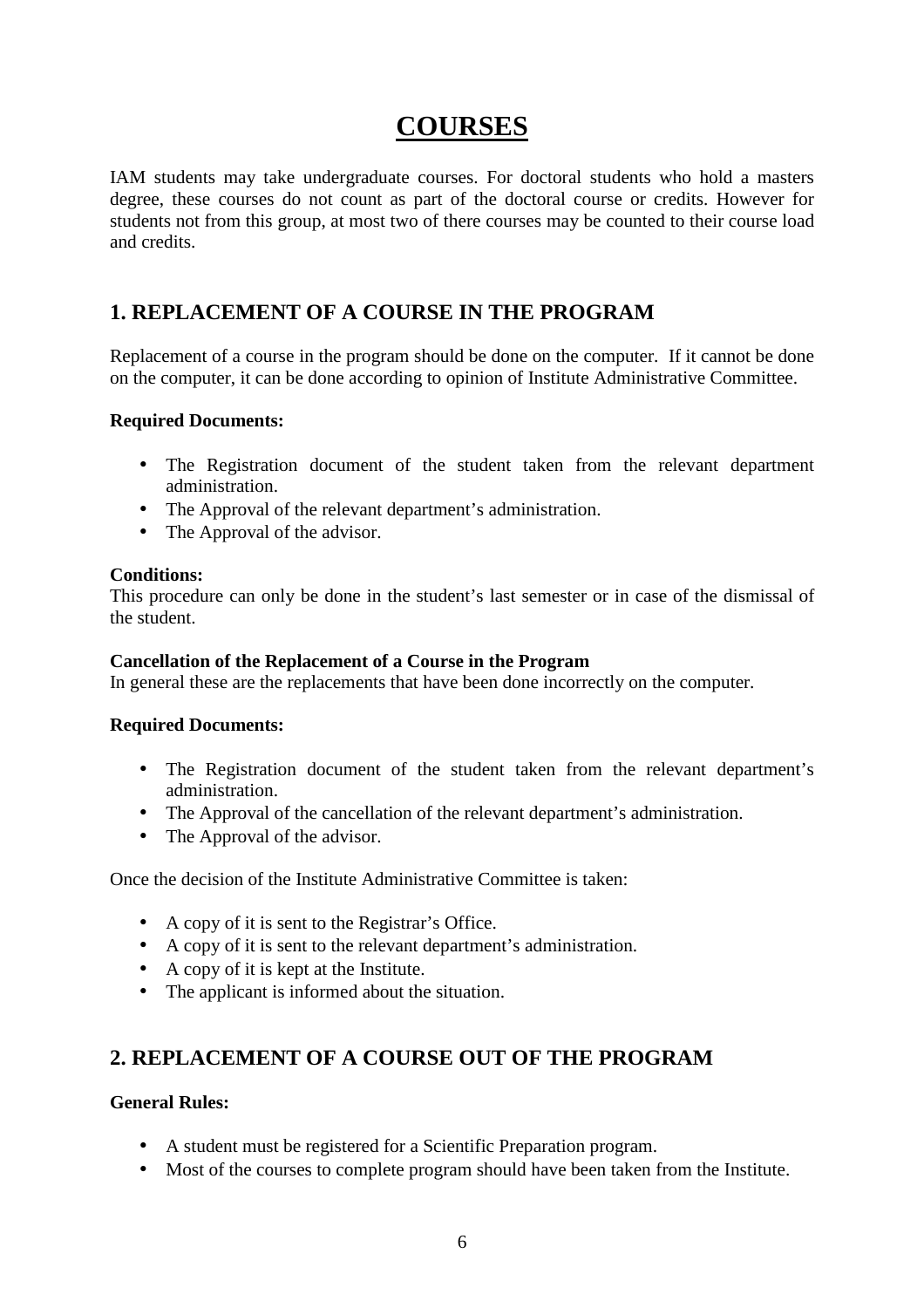## **COURSES**

IAM students may take undergraduate courses. For doctoral students who hold a masters degree, these courses do not count as part of the doctoral course or credits. However for students not from this group, at most two of there courses may be counted to their course load and credits.

## **1. REPLACEMENT OF A COURSE IN THE PROGRAM**

Replacement of a course in the program should be done on the computer. If it cannot be done on the computer, it can be done according to opinion of Institute Administrative Committee.

#### **Required Documents:**

- The Registration document of the student taken from the relevant department administration.
- The Approval of the relevant department's administration.
- The Approval of the advisor.

#### **Conditions:**

This procedure can only be done in the student's last semester or in case of the dismissal of the student.

#### **Cancellation of the Replacement of a Course in the Program**

In general these are the replacements that have been done incorrectly on the computer.

#### **Required Documents:**

- The Registration document of the student taken from the relevant department's administration.
- The Approval of the cancellation of the relevant department's administration.
- The Approval of the advisor.

Once the decision of the Institute Administrative Committee is taken:

- A copy of it is sent to the Registrar's Office.
- A copy of it is sent to the relevant department's administration.
- A copy of it is kept at the Institute.
- The applicant is informed about the situation.

## **2. REPLACEMENT OF A COURSE OUT OF THE PROGRAM**

#### **General Rules:**

- A student must be registered for a Scientific Preparation program.
- Most of the courses to complete program should have been taken from the Institute.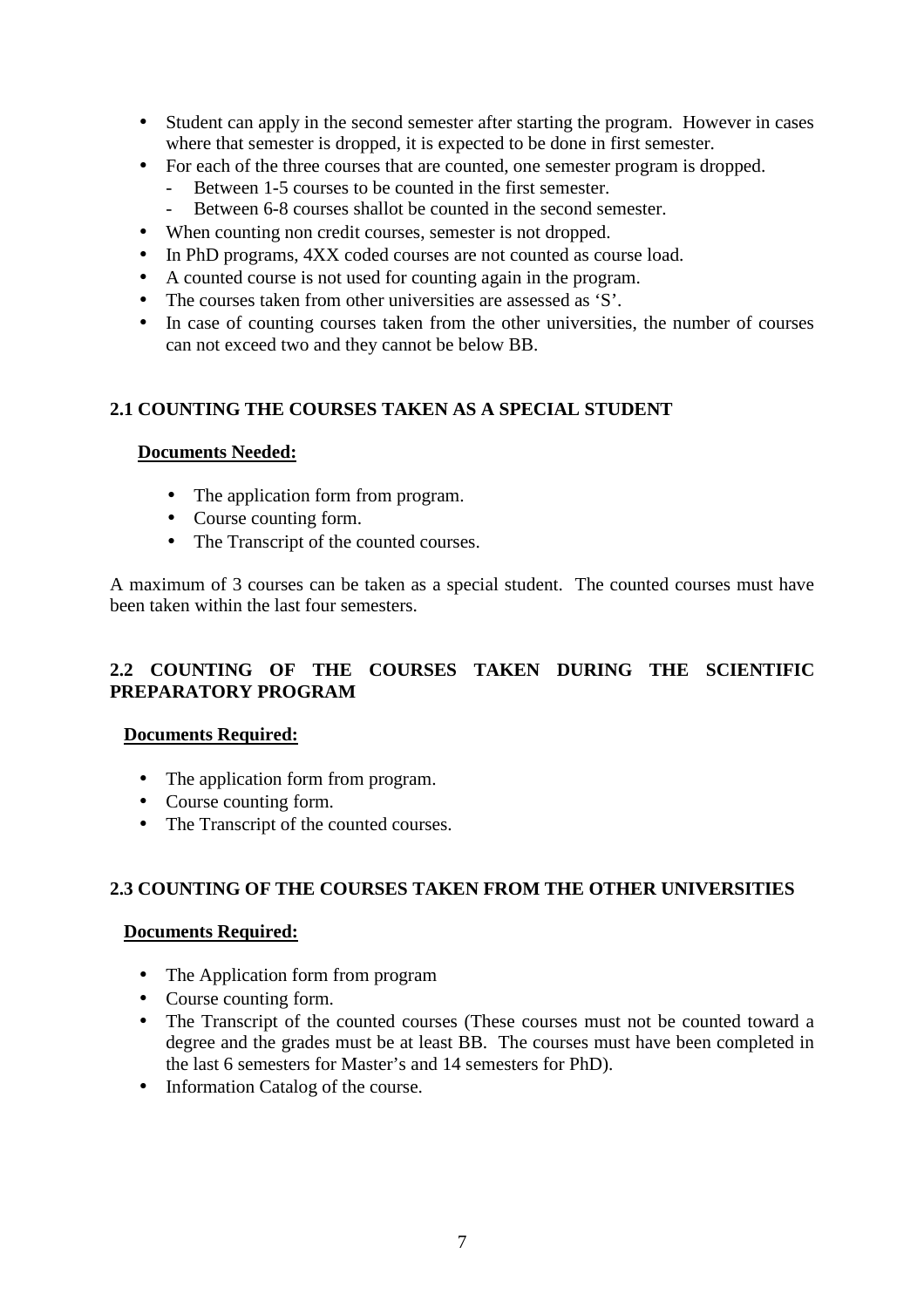- Student can apply in the second semester after starting the program. However in cases where that semester is dropped, it is expected to be done in first semester.
- For each of the three courses that are counted, one semester program is dropped.
	- Between 1-5 courses to be counted in the first semester.
	- Between 6-8 courses shallot be counted in the second semester.
- When counting non credit courses, semester is not dropped.
- In PhD programs,  $4XX$  coded courses are not counted as course load.
- A counted course is not used for counting again in the program.
- The courses taken from other universities are assessed as 'S'.
- In case of counting courses taken from the other universities, the number of courses can not exceed two and they cannot be below BB.

#### **2.1 COUNTING THE COURSES TAKEN AS A SPECIAL STUDENT**

#### **Documents Needed:**

- The application form from program.
- Course counting form.
- The Transcript of the counted courses.

A maximum of 3 courses can be taken as a special student. The counted courses must have been taken within the last four semesters.

#### **2.2 COUNTING OF THE COURSES TAKEN DURING THE SCIENTIFIC PREPARATORY PROGRAM**

#### **Documents Required:**

- The application form from program.
- Course counting form.
- The Transcript of the counted courses.

#### **2.3 COUNTING OF THE COURSES TAKEN FROM THE OTHER UNIVERSITIES**

#### **Documents Required:**

- The Application form from program
- Course counting form.
- The Transcript of the counted courses (These courses must not be counted toward a degree and the grades must be at least BB. The courses must have been completed in the last 6 semesters for Master's and 14 semesters for PhD).
- Information Catalog of the course.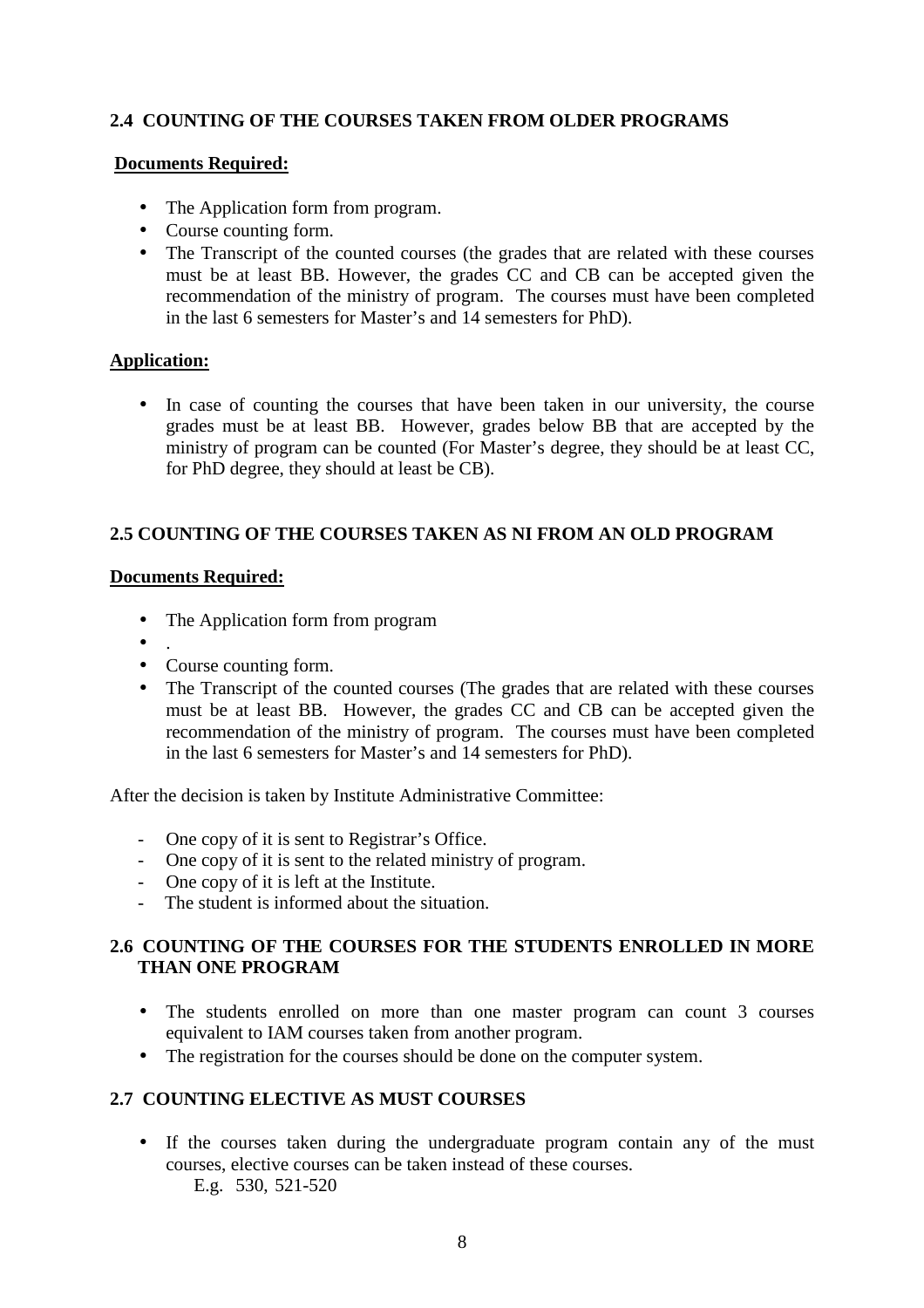#### **2.4 COUNTING OF THE COURSES TAKEN FROM OLDER PROGRAMS**

#### **Documents Required:**

- The Application form from program.
- Course counting form.
- The Transcript of the counted courses (the grades that are related with these courses must be at least BB. However, the grades CC and CB can be accepted given the recommendation of the ministry of program. The courses must have been completed in the last 6 semesters for Master's and 14 semesters for PhD).

#### **Application:**

• In case of counting the courses that have been taken in our university, the course grades must be at least BB. However, grades below BB that are accepted by the ministry of program can be counted (For Master's degree, they should be at least CC, for PhD degree, they should at least be CB).

#### **2.5 COUNTING OF THE COURSES TAKEN AS NI FROM AN OLD PROGRAM**

#### **Documents Required:**

- The Application form from program
- $\bullet$
- Course counting form.
- The Transcript of the counted courses (The grades that are related with these courses must be at least BB. However, the grades CC and CB can be accepted given the recommendation of the ministry of program. The courses must have been completed in the last 6 semesters for Master's and 14 semesters for PhD).

After the decision is taken by Institute Administrative Committee:

- One copy of it is sent to Registrar's Office.
- One copy of it is sent to the related ministry of program.
- One copy of it is left at the Institute.
- The student is informed about the situation.

#### **2.6 COUNTING OF THE COURSES FOR THE STUDENTS ENROLLED IN MORE THAN ONE PROGRAM**

- The students enrolled on more than one master program can count 3 courses equivalent to IAM courses taken from another program.
- The registration for the courses should be done on the computer system.

#### **2.7 COUNTING ELECTIVE AS MUST COURSES**

• If the courses taken during the undergraduate program contain any of the must courses, elective courses can be taken instead of these courses. E.g. 530, 521-520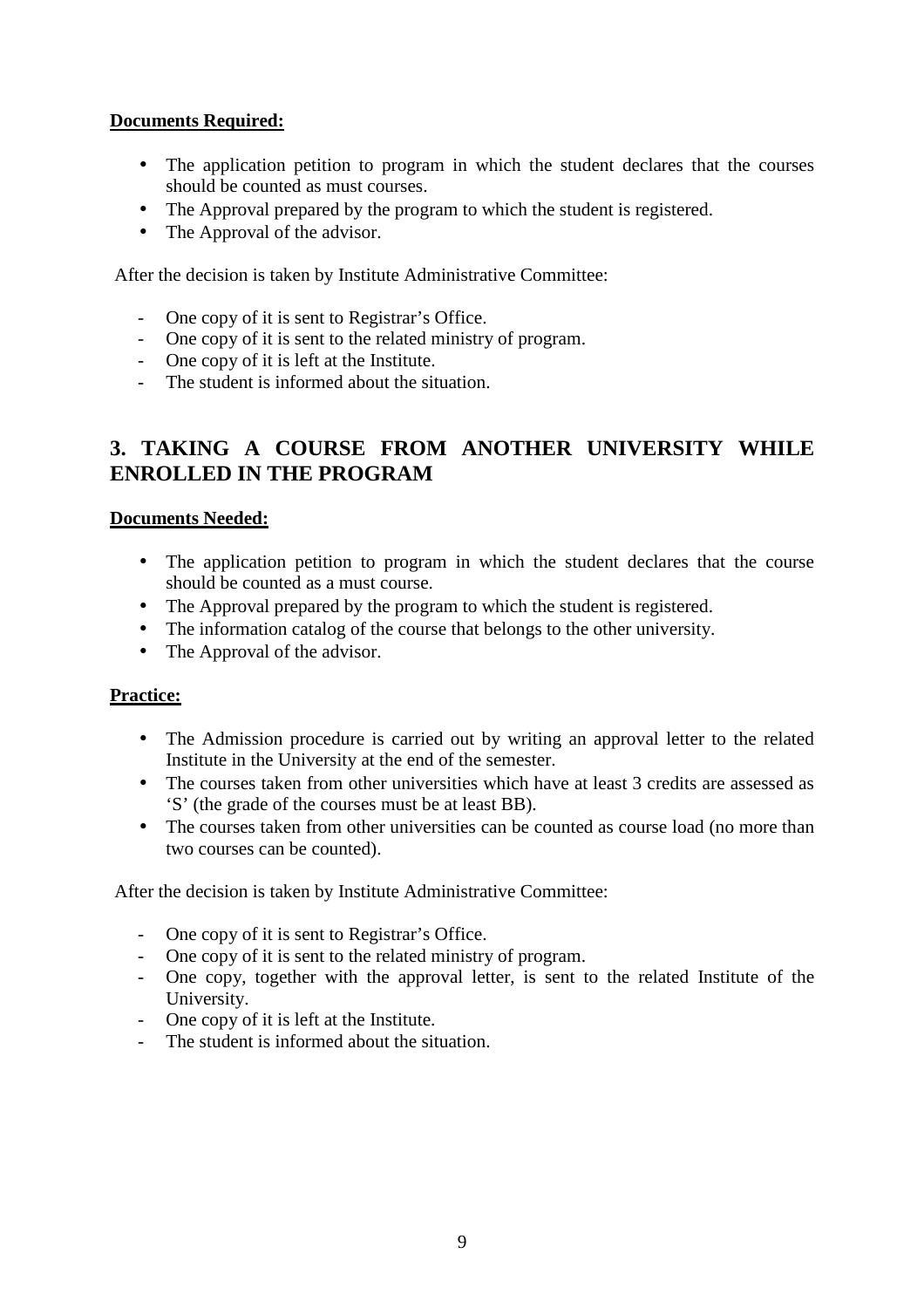#### **Documents Required:**

- The application petition to program in which the student declares that the courses should be counted as must courses.
- The Approval prepared by the program to which the student is registered.
- The Approval of the advisor.

After the decision is taken by Institute Administrative Committee:

- One copy of it is sent to Registrar's Office.
- One copy of it is sent to the related ministry of program.
- One copy of it is left at the Institute.
- The student is informed about the situation.

## **3. TAKING A COURSE FROM ANOTHER UNIVERSITY WHILE ENROLLED IN THE PROGRAM**

#### **Documents Needed:**

- The application petition to program in which the student declares that the course should be counted as a must course.
- The Approval prepared by the program to which the student is registered.
- The information catalog of the course that belongs to the other university.
- The Approval of the advisor.

#### **Practice:**

- The Admission procedure is carried out by writing an approval letter to the related Institute in the University at the end of the semester.
- The courses taken from other universities which have at least 3 credits are assessed as 'S' (the grade of the courses must be at least BB).
- The courses taken from other universities can be counted as course load (no more than two courses can be counted).

After the decision is taken by Institute Administrative Committee:

- One copy of it is sent to Registrar's Office.
- One copy of it is sent to the related ministry of program.
- One copy, together with the approval letter, is sent to the related Institute of the University.
- One copy of it is left at the Institute.
- The student is informed about the situation.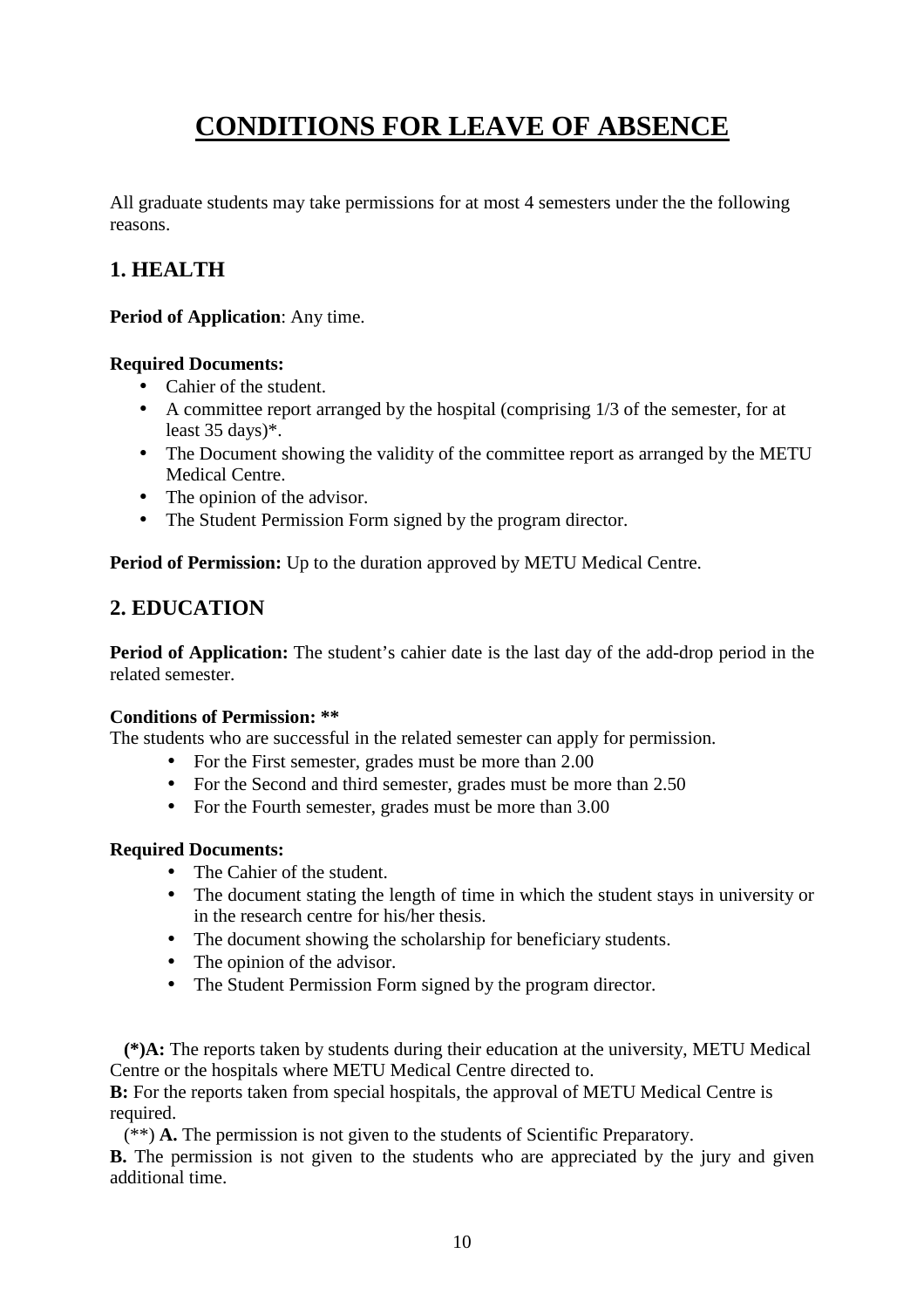# **CONDITIONS FOR LEAVE OF ABSENCE**

All graduate students may take permissions for at most 4 semesters under the the following reasons.

## **1. HEALTH**

**Period of Application**: Any time.

#### **Required Documents:**

- Cahier of the student.
- A committee report arranged by the hospital (comprising 1/3 of the semester, for at least 35 days)\*.
- The Document showing the validity of the committee report as arranged by the METU Medical Centre.
- The opinion of the advisor.
- The Student Permission Form signed by the program director.

**Period of Permission:** Up to the duration approved by METU Medical Centre.

## **2. EDUCATION**

**Period of Application:** The student's cahier date is the last day of the add-drop period in the related semester.

#### **Conditions of Permission: \*\***

The students who are successful in the related semester can apply for permission.

- For the First semester, grades must be more than 2.00
- For the Second and third semester, grades must be more than 2.50
- For the Fourth semester, grades must be more than 3.00

#### **Required Documents:**

- The Cahier of the student.
- The document stating the length of time in which the student stays in university or in the research centre for his/her thesis.
- The document showing the scholarship for beneficiary students.
- The opinion of the advisor.
- The Student Permission Form signed by the program director.

 **(\*)A:** The reports taken by students during their education at the university, METU Medical Centre or the hospitals where METU Medical Centre directed to.

**B:** For the reports taken from special hospitals, the approval of METU Medical Centre is required.

(\*\*) **A.** The permission is not given to the students of Scientific Preparatory.

**B.** The permission is not given to the students who are appreciated by the jury and given additional time.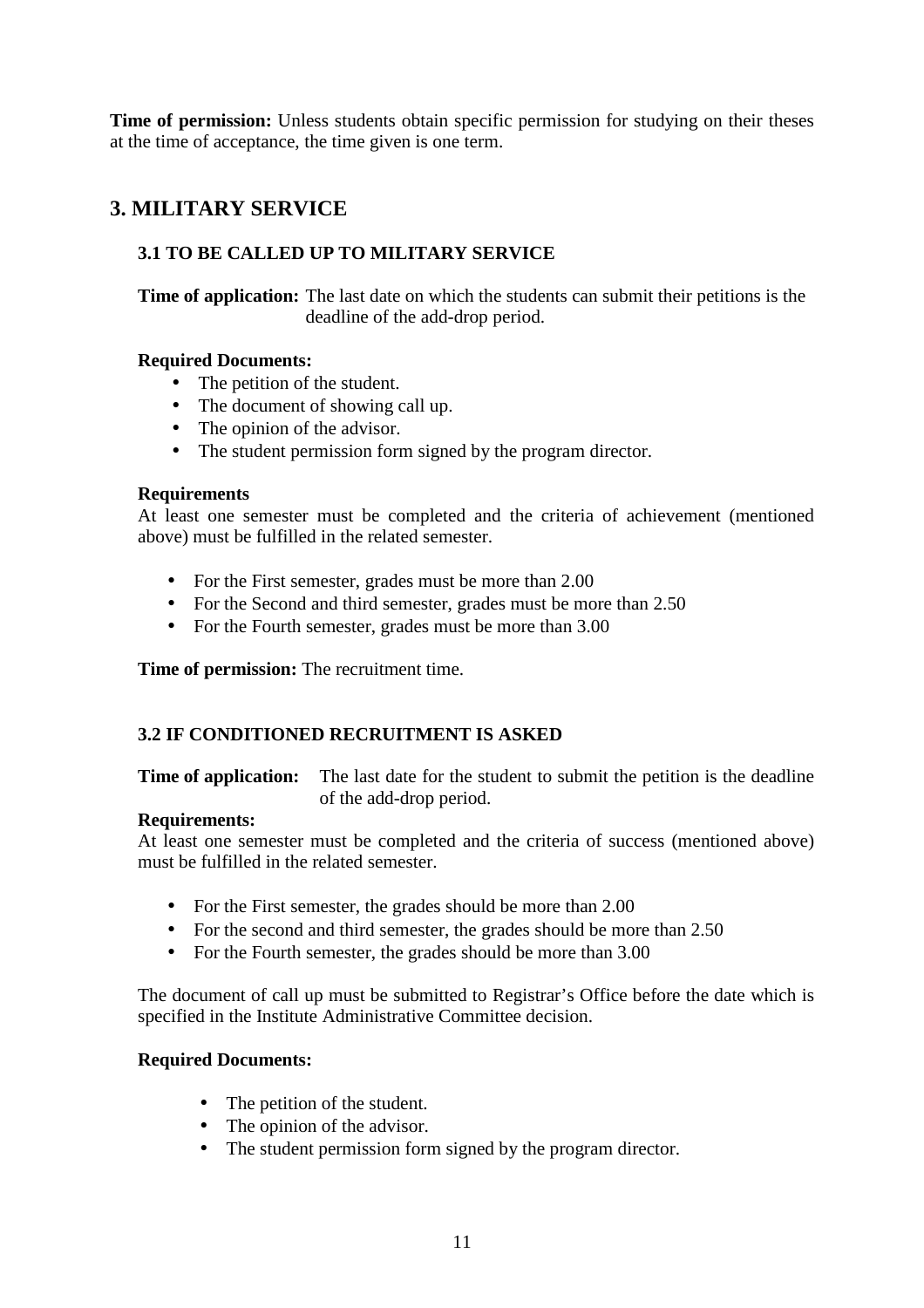Time of permission: Unless students obtain specific permission for studying on their theses at the time of acceptance, the time given is one term.

## **3. MILITARY SERVICE**

#### **3.1 TO BE CALLED UP TO MILITARY SERVICE**

**Time of application:** The last date on which the students can submit their petitions is the deadline of the add-drop period.

#### **Required Documents:**

- The petition of the student.
- The document of showing call up.
- The opinion of the advisor.
- The student permission form signed by the program director.

#### **Requirements**

At least one semester must be completed and the criteria of achievement (mentioned above) must be fulfilled in the related semester.

- For the First semester, grades must be more than 2.00
- For the Second and third semester, grades must be more than 2.50
- For the Fourth semester, grades must be more than 3.00

**Time of permission:** The recruitment time.

#### **3.2 IF CONDITIONED RECRUITMENT IS ASKED**

**Time of application:** The last date for the student to submit the petition is the deadline of the add-drop period.

#### **Requirements:**

At least one semester must be completed and the criteria of success (mentioned above) must be fulfilled in the related semester.

- For the First semester, the grades should be more than 2.00
- For the second and third semester, the grades should be more than 2.50
- For the Fourth semester, the grades should be more than 3.00

The document of call up must be submitted to Registrar's Office before the date which is specified in the Institute Administrative Committee decision.

#### **Required Documents:**

- The petition of the student.
- The opinion of the advisor.
- The student permission form signed by the program director.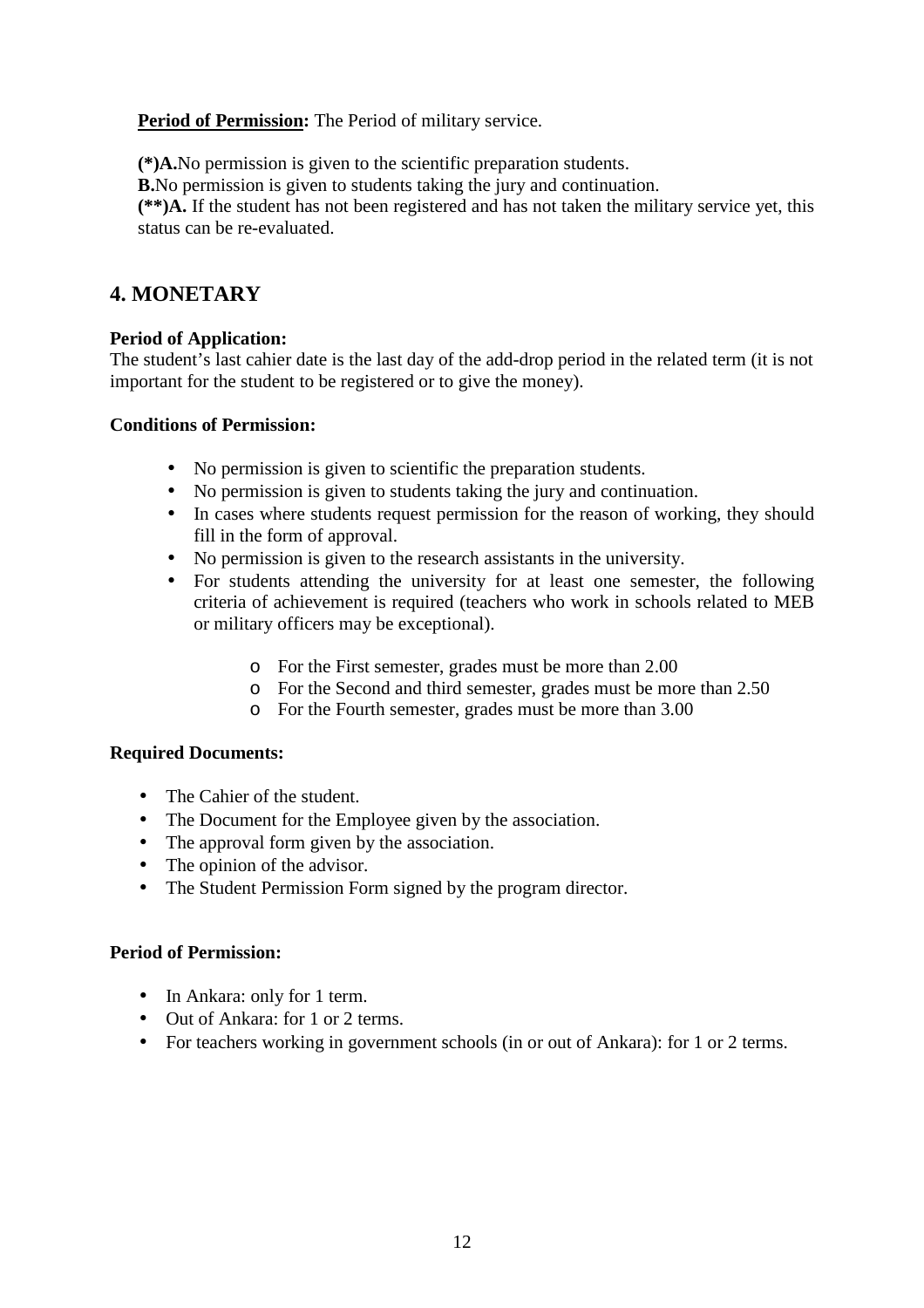#### Period of Permission: The Period of military service.

**(\*)A.**No permission is given to the scientific preparation students. **B.**No permission is given to students taking the jury and continuation. **(\*\*)A.** If the student has not been registered and has not taken the military service yet, this status can be re-evaluated.

## **4. MONETARY**

#### **Period of Application:**

The student's last cahier date is the last day of the add-drop period in the related term (it is not important for the student to be registered or to give the money).

#### **Conditions of Permission:**

- No permission is given to scientific the preparation students.
- No permission is given to students taking the jury and continuation.
- In cases where students request permission for the reason of working, they should fill in the form of approval.
- No permission is given to the research assistants in the university.
- For students attending the university for at least one semester, the following criteria of achievement is required (teachers who work in schools related to MEB or military officers may be exceptional).
	- o For the First semester, grades must be more than 2.00
	- o For the Second and third semester, grades must be more than 2.50
	- o For the Fourth semester, grades must be more than 3.00

#### **Required Documents:**

- The Cahier of the student.
- The Document for the Employee given by the association.
- The approval form given by the association.
- The opinion of the advisor.
- The Student Permission Form signed by the program director.

#### **Period of Permission:**

- In Ankara: only for 1 term.
- Out of Ankara: for 1 or 2 terms.
- For teachers working in government schools (in or out of Ankara): for 1 or 2 terms.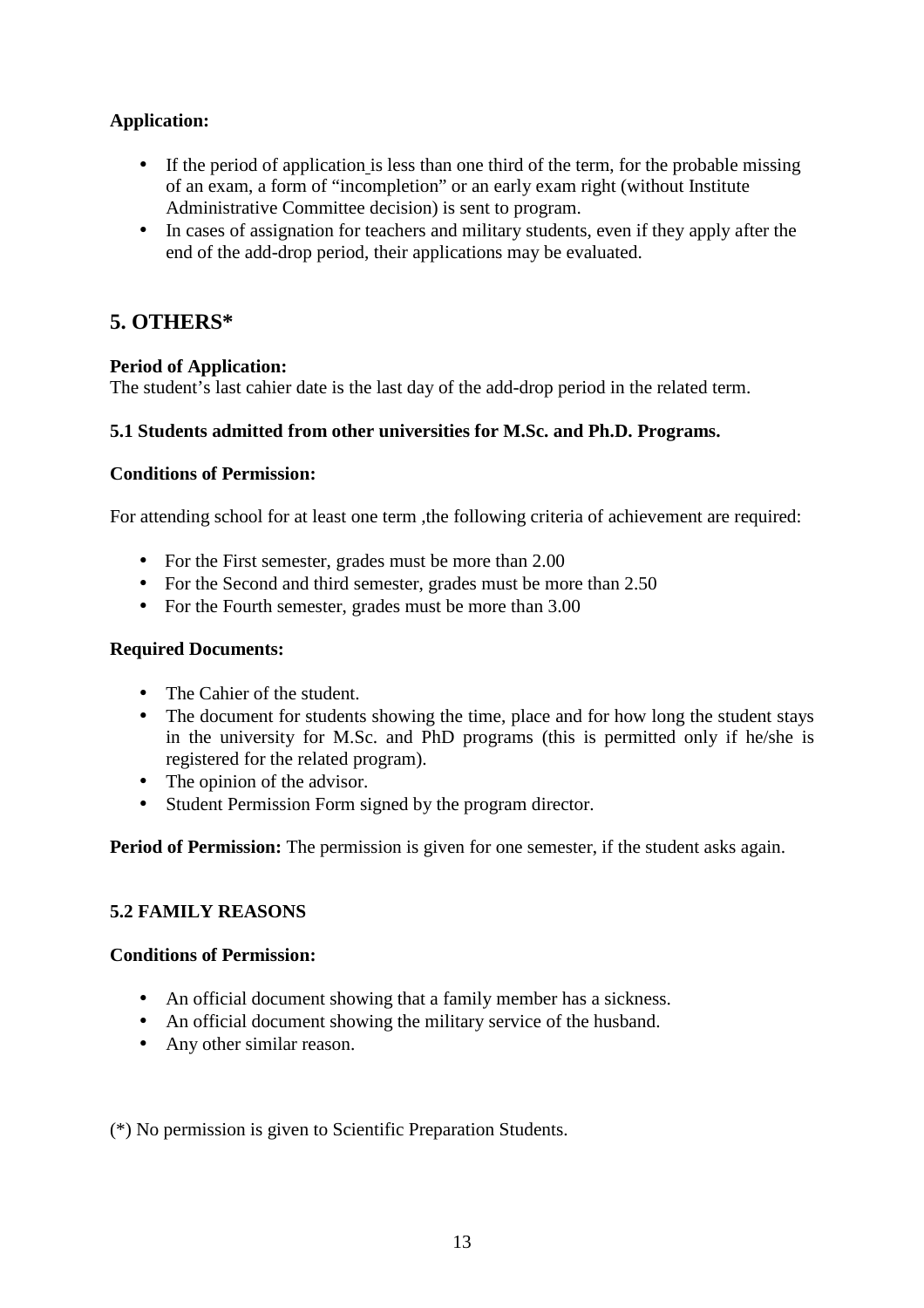### **Application:**

- If the period of application is less than one third of the term, for the probable missing of an exam, a form of "incompletion" or an early exam right (without Institute Administrative Committee decision) is sent to program.
- In cases of assignation for teachers and military students, even if they apply after the end of the add-drop period, their applications may be evaluated.

## **5. OTHERS\***

#### **Period of Application:**

The student's last cahier date is the last day of the add-drop period in the related term.

#### **5.1 Students admitted from other universities for M.Sc. and Ph.D. Programs.**

#### **Conditions of Permission:**

For attending school for at least one term, the following criteria of achievement are required:

- For the First semester, grades must be more than 2.00
- For the Second and third semester, grades must be more than 2.50
- For the Fourth semester, grades must be more than 3.00

#### **Required Documents:**

- The Cahier of the student.
- The document for students showing the time, place and for how long the student stays in the university for M.Sc. and PhD programs (this is permitted only if he/she is registered for the related program).
- The opinion of the advisor.
- Student Permission Form signed by the program director.

**Period of Permission:** The permission is given for one semester, if the student asks again.

#### **5.2 FAMILY REASONS**

#### **Conditions of Permission:**

- An official document showing that a family member has a sickness.
- An official document showing the military service of the husband.
- Any other similar reason.

(\*) No permission is given to Scientific Preparation Students.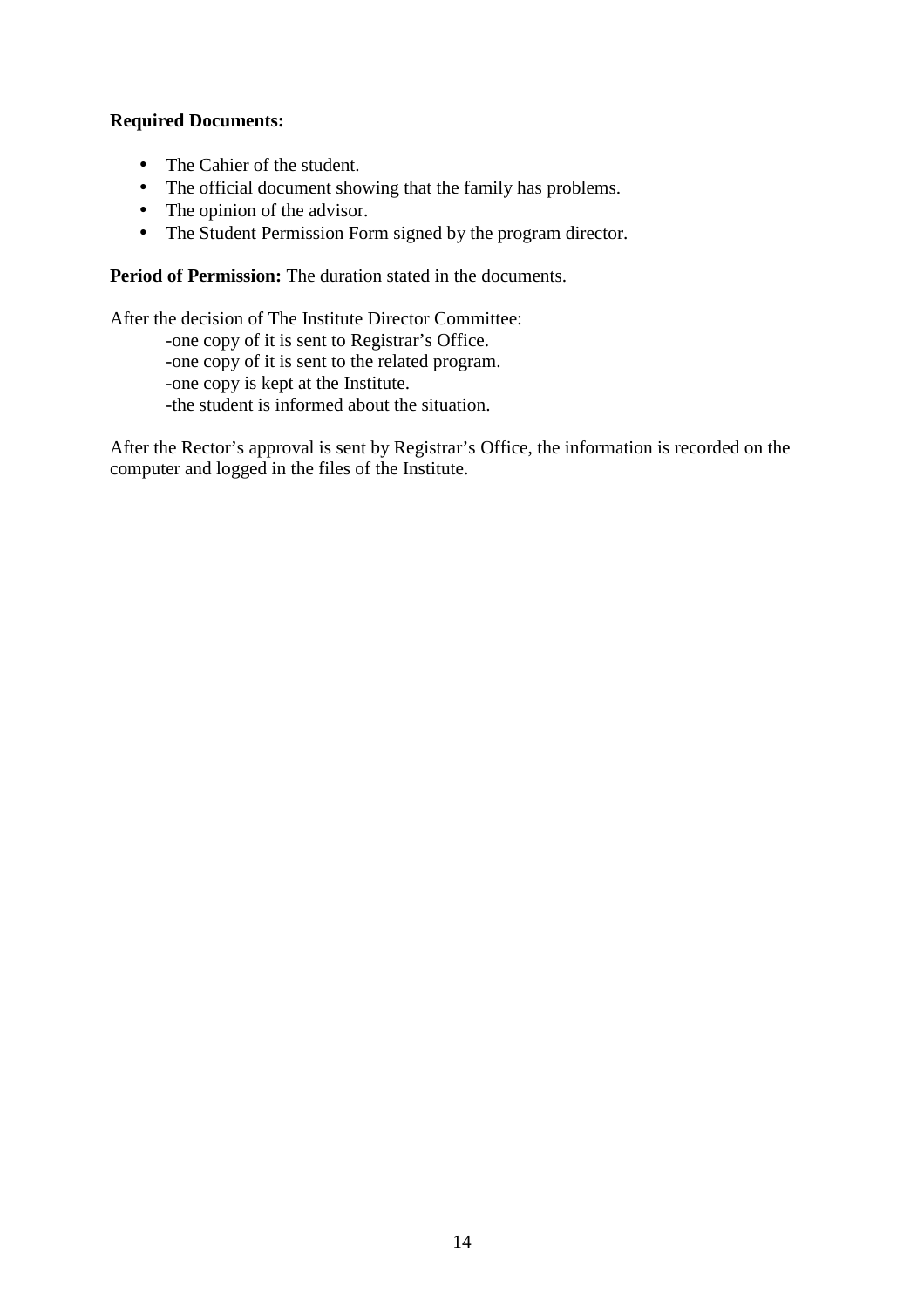#### **Required Documents:**

- The Cahier of the student.
- The official document showing that the family has problems.
- The opinion of the advisor.
- The Student Permission Form signed by the program director.

**Period of Permission:** The duration stated in the documents.

After the decision of The Institute Director Committee:

-one copy of it is sent to Registrar's Office.

-one copy of it is sent to the related program.

-one copy is kept at the Institute.

-the student is informed about the situation.

After the Rector's approval is sent by Registrar's Office, the information is recorded on the computer and logged in the files of the Institute.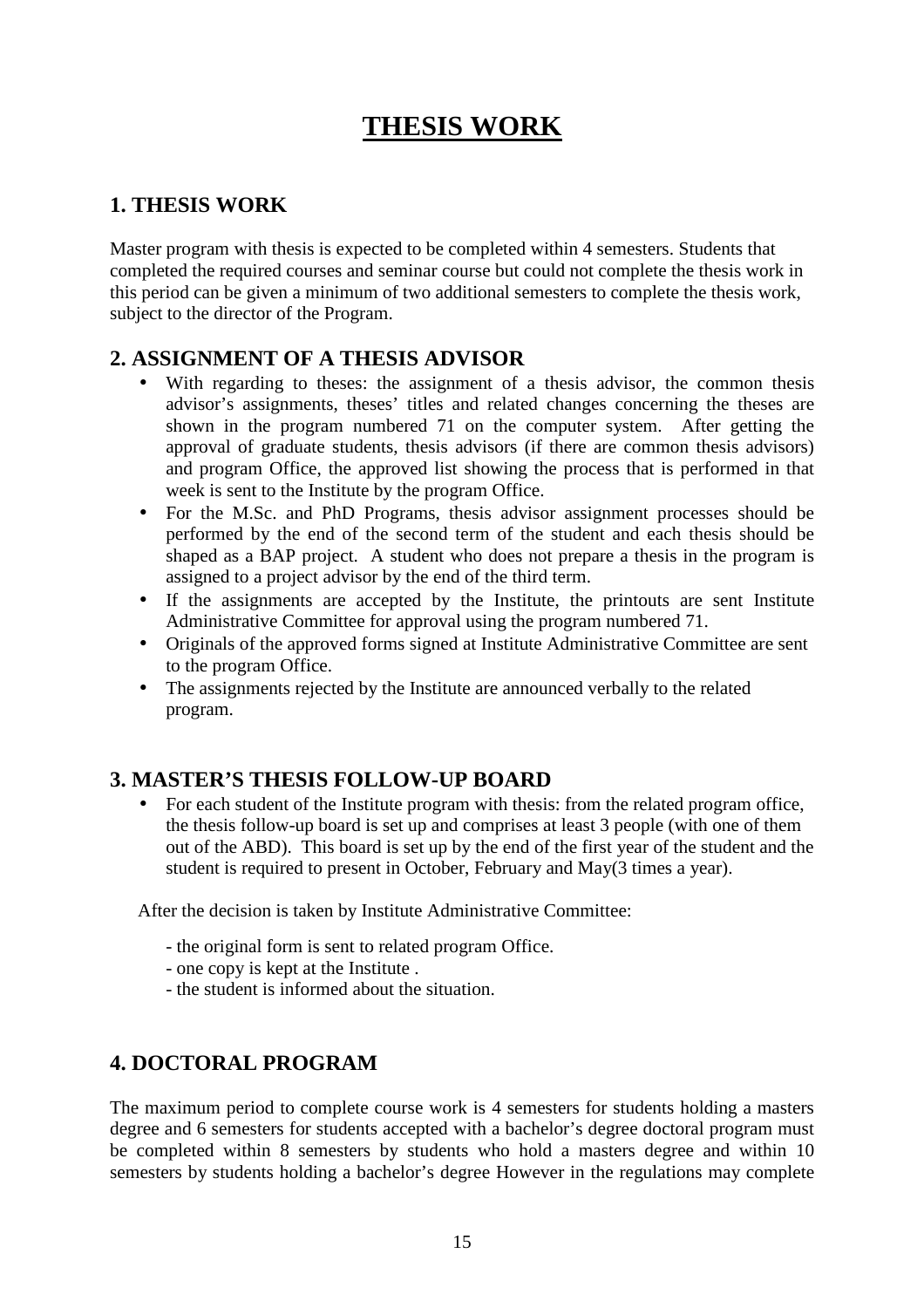# **THESIS WORK**

## **1. THESIS WORK**

Master program with thesis is expected to be completed within 4 semesters. Students that completed the required courses and seminar course but could not complete the thesis work in this period can be given a minimum of two additional semesters to complete the thesis work, subject to the director of the Program.

## **2. ASSIGNMENT OF A THESIS ADVISOR**

- With regarding to theses: the assignment of a thesis advisor, the common thesis advisor's assignments, theses' titles and related changes concerning the theses are shown in the program numbered 71 on the computer system. After getting the approval of graduate students, thesis advisors (if there are common thesis advisors) and program Office, the approved list showing the process that is performed in that week is sent to the Institute by the program Office.
- For the M.Sc. and PhD Programs, thesis advisor assignment processes should be performed by the end of the second term of the student and each thesis should be shaped as a BAP project. A student who does not prepare a thesis in the program is assigned to a project advisor by the end of the third term.
- If the assignments are accepted by the Institute, the printouts are sent Institute Administrative Committee for approval using the program numbered 71.
- Originals of the approved forms signed at Institute Administrative Committee are sent to the program Office.
- The assignments rejected by the Institute are announced verbally to the related program.

## **3. MASTER'S THESIS FOLLOW-UP BOARD**

• For each student of the Institute program with thesis: from the related program office, the thesis follow-up board is set up and comprises at least 3 people (with one of them out of the ABD). This board is set up by the end of the first year of the student and the student is required to present in October, February and May(3 times a year).

After the decision is taken by Institute Administrative Committee:

- the original form is sent to related program Office.
- one copy is kept at the Institute .
- the student is informed about the situation.

## **4. DOCTORAL PROGRAM**

The maximum period to complete course work is 4 semesters for students holding a masters degree and 6 semesters for students accepted with a bachelor's degree doctoral program must be completed within 8 semesters by students who hold a masters degree and within 10 semesters by students holding a bachelor's degree However in the regulations may complete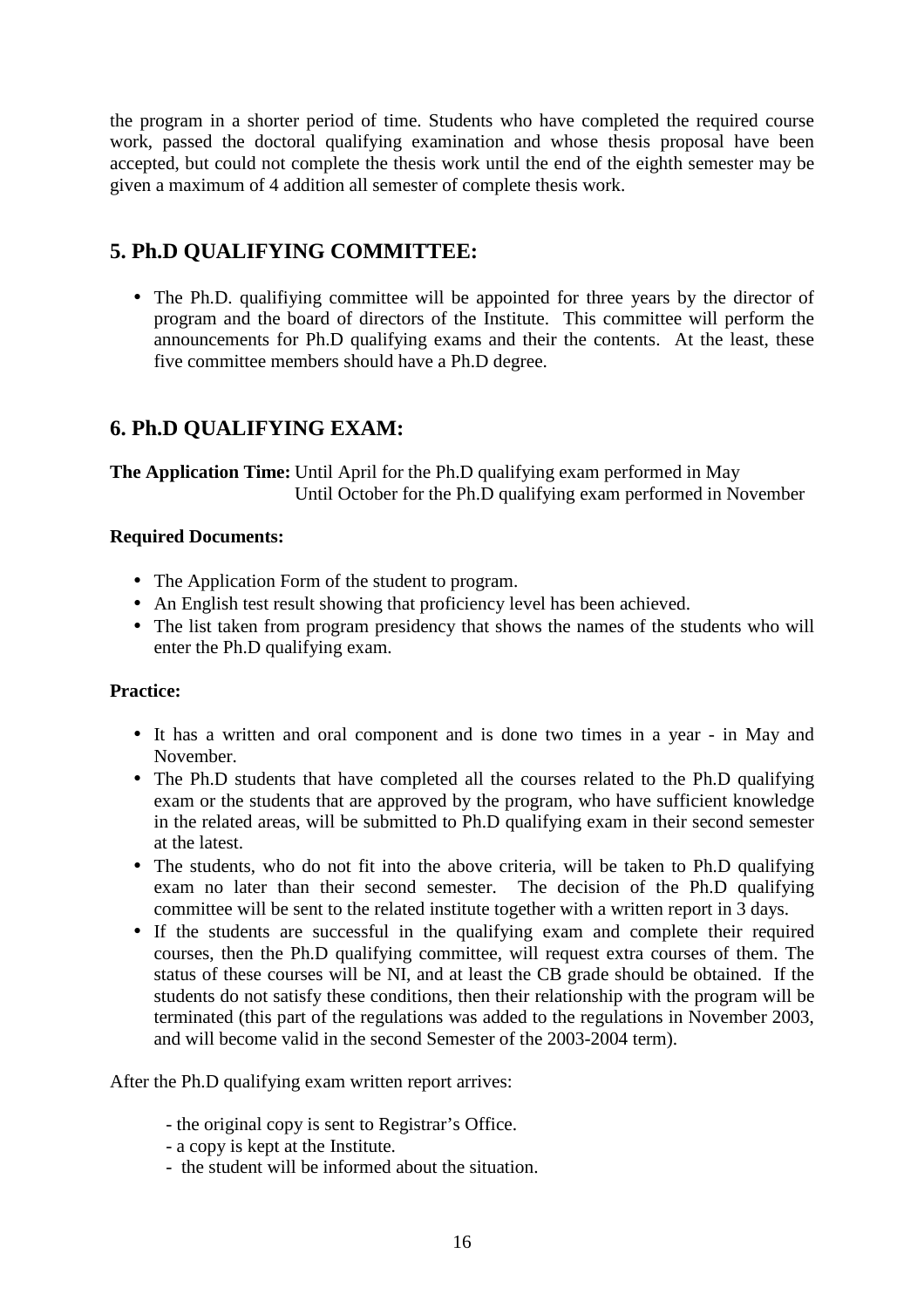the program in a shorter period of time. Students who have completed the required course work, passed the doctoral qualifying examination and whose thesis proposal have been accepted, but could not complete the thesis work until the end of the eighth semester may be given a maximum of 4 addition all semester of complete thesis work.

## **5. Ph.D QUALIFYING COMMITTEE:**

• The Ph.D. qualifiying committee will be appointed for three years by the director of program and the board of directors of the Institute. This committee will perform the announcements for Ph.D qualifying exams and their the contents. At the least, these five committee members should have a Ph.D degree.

## **6. Ph.D QUALIFYING EXAM:**

**The Application Time:** Until April for the Ph.D qualifying exam performed in May Until October for the Ph.D qualifying exam performed in November

#### **Required Documents:**

- The Application Form of the student to program.
- An English test result showing that proficiency level has been achieved.
- The list taken from program presidency that shows the names of the students who will enter the Ph.D qualifying exam.

#### **Practice:**

- It has a written and oral component and is done two times in a year in May and November.
- The Ph.D students that have completed all the courses related to the Ph.D qualifying exam or the students that are approved by the program, who have sufficient knowledge in the related areas, will be submitted to Ph.D qualifying exam in their second semester at the latest.
- The students, who do not fit into the above criteria, will be taken to Ph.D qualifying exam no later than their second semester. The decision of the Ph.D qualifying committee will be sent to the related institute together with a written report in 3 days.
- If the students are successful in the qualifying exam and complete their required courses, then the Ph.D qualifying committee, will request extra courses of them. The status of these courses will be NI, and at least the CB grade should be obtained. If the students do not satisfy these conditions, then their relationship with the program will be terminated (this part of the regulations was added to the regulations in November 2003, and will become valid in the second Semester of the 2003-2004 term).

After the Ph.D qualifying exam written report arrives:

- the original copy is sent to Registrar's Office.
- a copy is kept at the Institute.
- the student will be informed about the situation.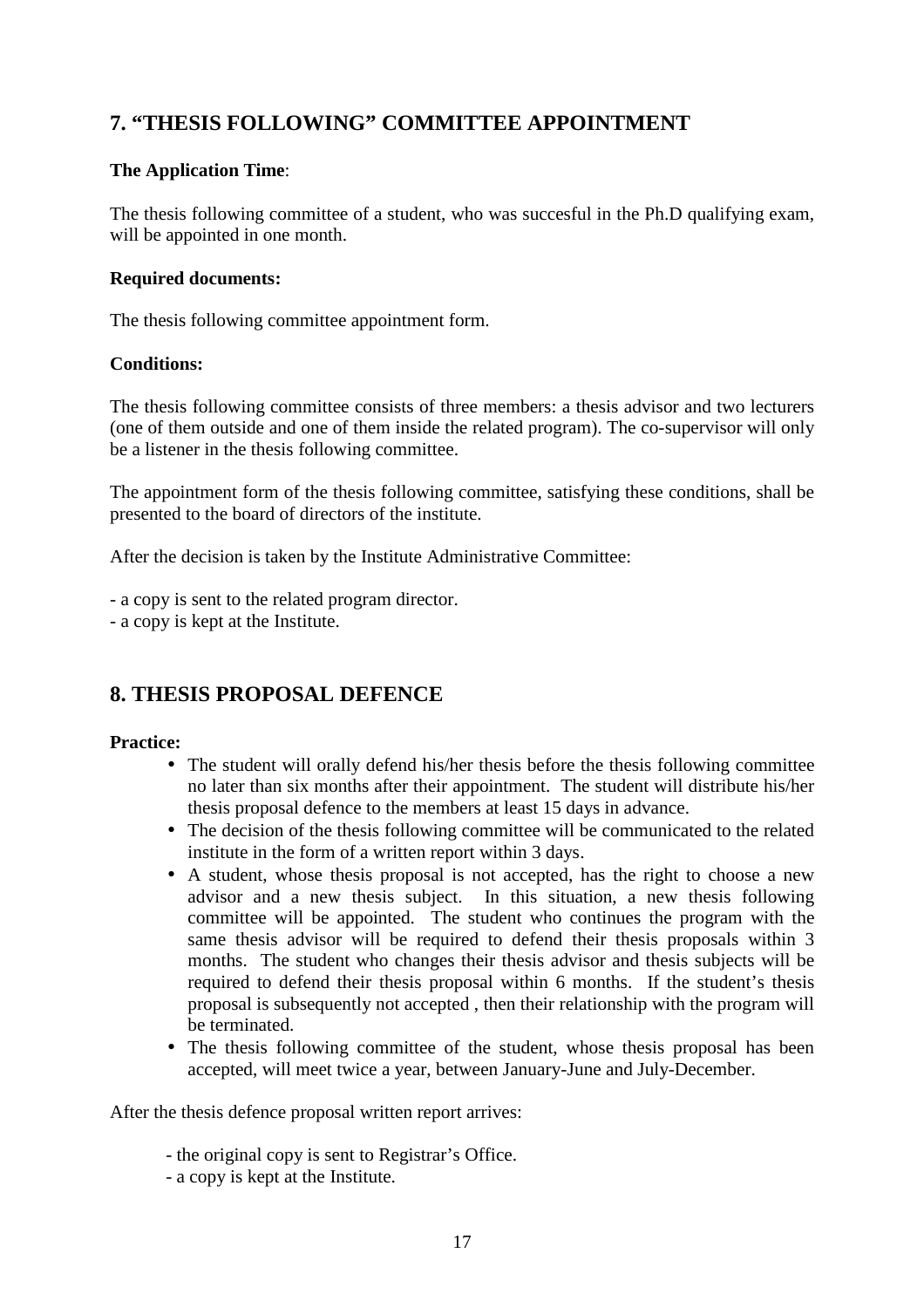## **7. "THESIS FOLLOWING" COMMITTEE APPOINTMENT**

#### **The Application Time**:

The thesis following committee of a student, who was succesful in the Ph.D qualifying exam, will be appointed in one month.

#### **Required documents:**

The thesis following committee appointment form.

#### **Conditions:**

The thesis following committee consists of three members: a thesis advisor and two lecturers (one of them outside and one of them inside the related program). The co-supervisor will only be a listener in the thesis following committee.

The appointment form of the thesis following committee, satisfying these conditions, shall be presented to the board of directors of the institute.

After the decision is taken by the Institute Administrative Committee:

- a copy is sent to the related program director.

- a copy is kept at the Institute.

#### **8. THESIS PROPOSAL DEFENCE**

#### **Practice:**

- The student will orally defend his/her thesis before the thesis following committee no later than six months after their appointment. The student will distribute his/her thesis proposal defence to the members at least 15 days in advance.
- The decision of the thesis following committee will be communicated to the related institute in the form of a written report within 3 days.
- A student, whose thesis proposal is not accepted, has the right to choose a new advisor and a new thesis subject. In this situation, a new thesis following committee will be appointed. The student who continues the program with the same thesis advisor will be required to defend their thesis proposals within 3 months. The student who changes their thesis advisor and thesis subjects will be required to defend their thesis proposal within 6 months. If the student's thesis proposal is subsequently not accepted , then their relationship with the program will be terminated.
- The thesis following committee of the student, whose thesis proposal has been accepted, will meet twice a year, between January-June and July-December.

After the thesis defence proposal written report arrives:

- the original copy is sent to Registrar's Office.
- a copy is kept at the Institute.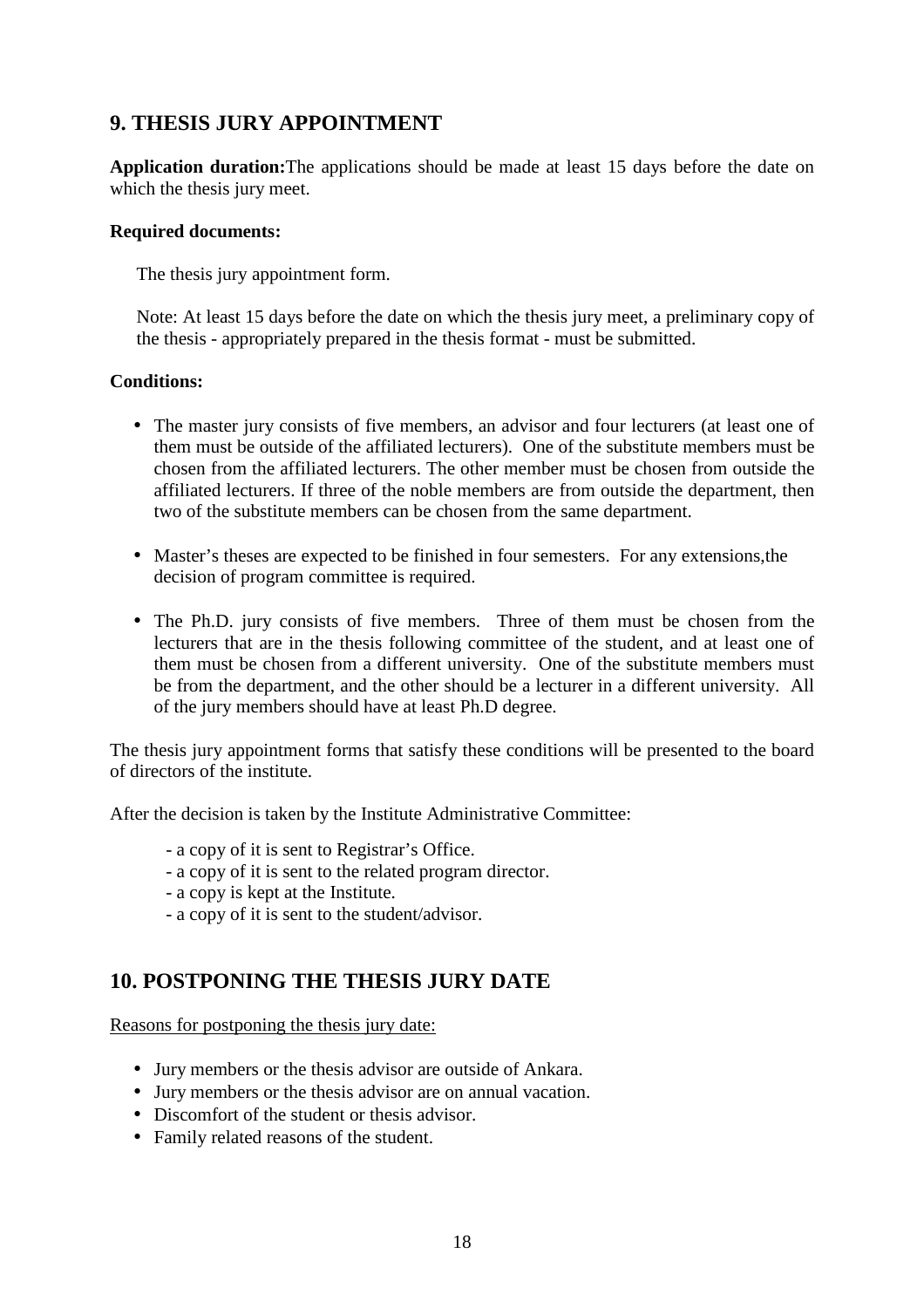## **9. THESIS JURY APPOINTMENT**

**Application duration:**The applications should be made at least 15 days before the date on which the thesis jury meet.

#### **Required documents:**

The thesis jury appointment form.

Note: At least 15 days before the date on which the thesis jury meet, a preliminary copy of the thesis - appropriately prepared in the thesis format - must be submitted.

#### **Conditions:**

- The master jury consists of five members, an advisor and four lecturers (at least one of them must be outside of the affiliated lecturers). One of the substitute members must be chosen from the affiliated lecturers. The other member must be chosen from outside the affiliated lecturers. If three of the noble members are from outside the department, then two of the substitute members can be chosen from the same department.
- Master's theses are expected to be finished in four semesters. For any extensions, the decision of program committee is required.
- The Ph.D. jury consists of five members. Three of them must be chosen from the lecturers that are in the thesis following committee of the student, and at least one of them must be chosen from a different university. One of the substitute members must be from the department, and the other should be a lecturer in a different university. All of the jury members should have at least Ph.D degree.

The thesis jury appointment forms that satisfy these conditions will be presented to the board of directors of the institute.

After the decision is taken by the Institute Administrative Committee:

- a copy of it is sent to Registrar's Office.
- a copy of it is sent to the related program director.
- a copy is kept at the Institute.
- a copy of it is sent to the student/advisor.

## **10. POSTPONING THE THESIS JURY DATE**

Reasons for postponing the thesis jury date:

- Jury members or the thesis advisor are outside of Ankara.
- Jury members or the thesis advisor are on annual vacation.
- Discomfort of the student or thesis advisor.
- Family related reasons of the student.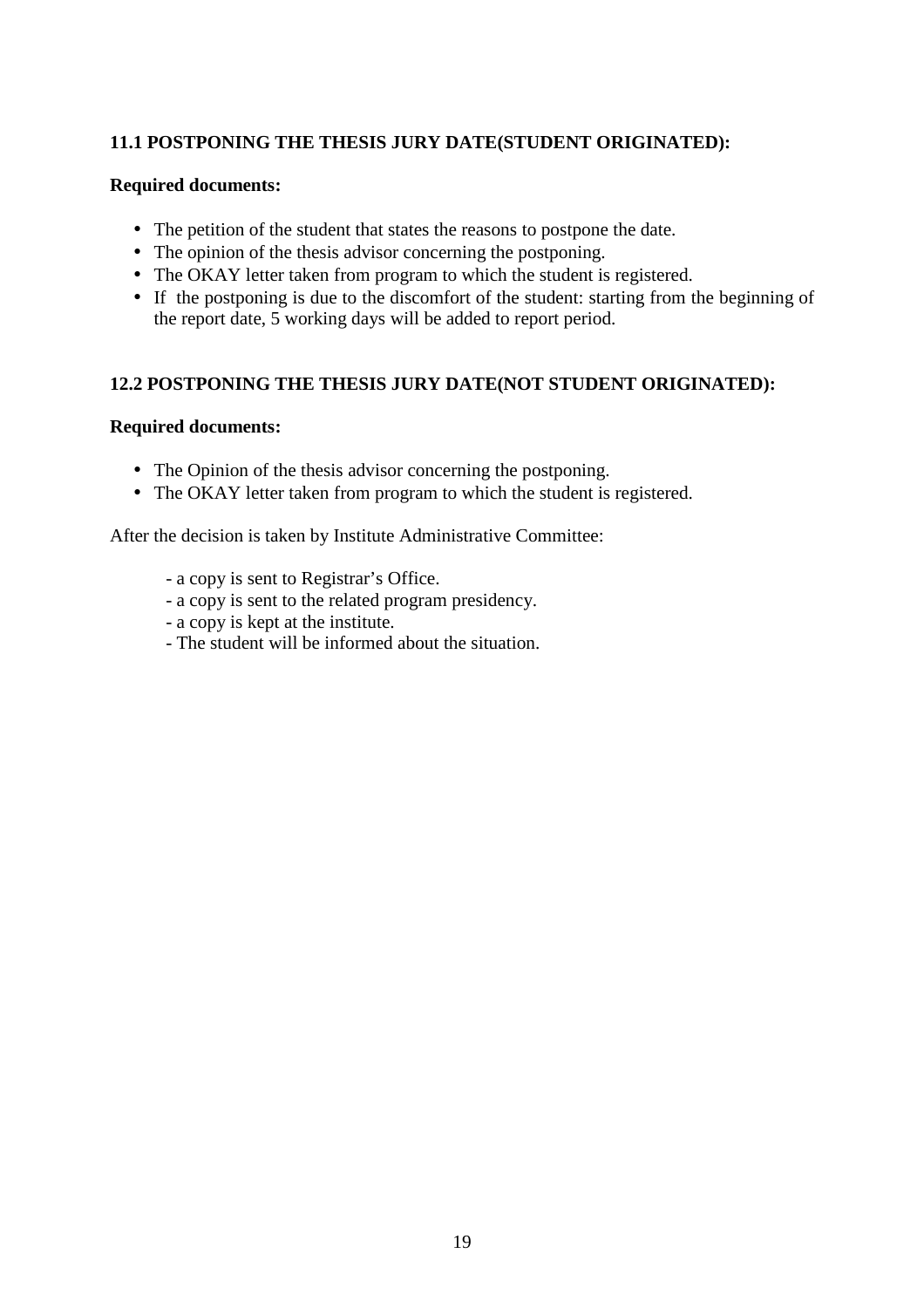#### **11.1 POSTPONING THE THESIS JURY DATE(STUDENT ORIGINATED):**

#### **Required documents:**

- The petition of the student that states the reasons to postpone the date.
- The opinion of the thesis advisor concerning the postponing.
- The OKAY letter taken from program to which the student is registered.
- If the postponing is due to the discomfort of the student: starting from the beginning of the report date, 5 working days will be added to report period.

#### **12.2 POSTPONING THE THESIS JURY DATE(NOT STUDENT ORIGINATED):**

#### **Required documents:**

- The Opinion of the thesis advisor concerning the postponing.
- The OKAY letter taken from program to which the student is registered.

After the decision is taken by Institute Administrative Committee:

- a copy is sent to Registrar's Office.
- a copy is sent to the related program presidency.
- a copy is kept at the institute.
- The student will be informed about the situation.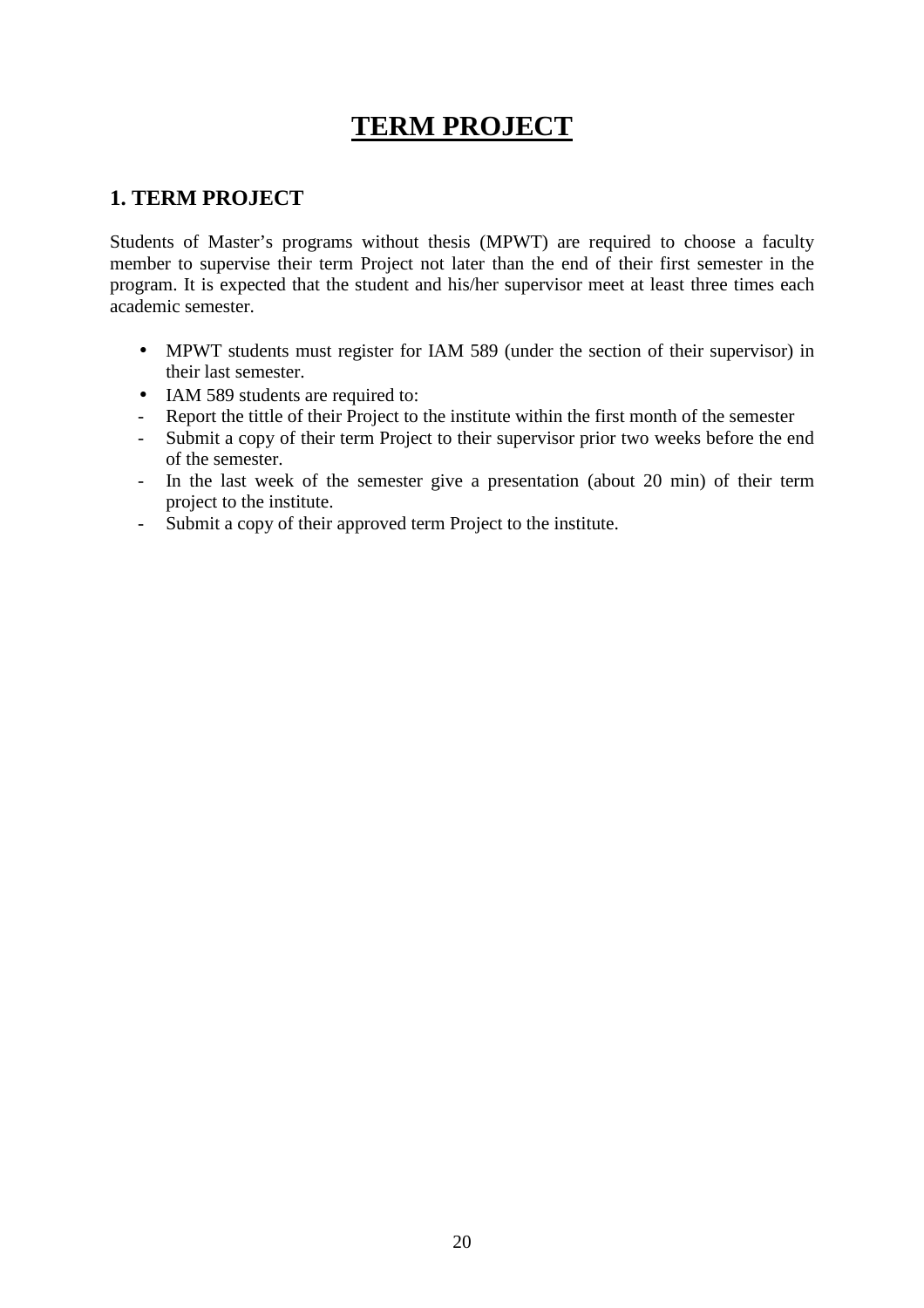# **TERM PROJECT**

## **1. TERM PROJECT**

Students of Master's programs without thesis (MPWT) are required to choose a faculty member to supervise their term Project not later than the end of their first semester in the program. It is expected that the student and his/her supervisor meet at least three times each academic semester.

- MPWT students must register for IAM 589 (under the section of their supervisor) in their last semester.
- IAM 589 students are required to:
- Report the tittle of their Project to the institute within the first month of the semester
- Submit a copy of their term Project to their supervisor prior two weeks before the end of the semester.
- In the last week of the semester give a presentation (about 20 min) of their term project to the institute.
- Submit a copy of their approved term Project to the institute.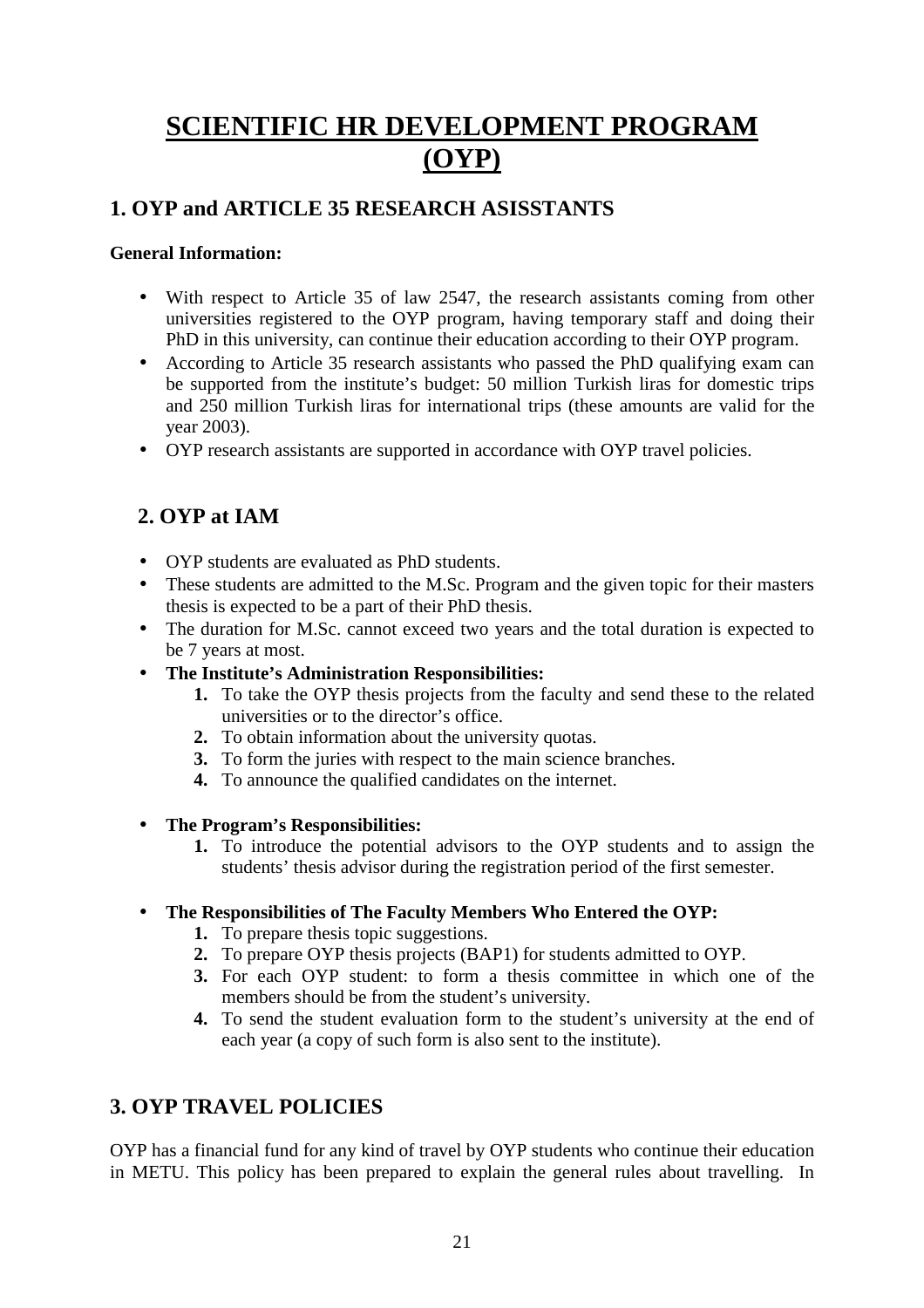# **SCIENTIFIC HR DEVELOPMENT PROGRAM (OYP)**

## **1. OYP and ARTICLE 35 RESEARCH ASISSTANTS**

#### **General Information:**

- With respect to Article 35 of law 2547, the research assistants coming from other universities registered to the OYP program, having temporary staff and doing their PhD in this university, can continue their education according to their OYP program.
- According to Article 35 research assistants who passed the PhD qualifying exam can be supported from the institute's budget: 50 million Turkish liras for domestic trips and 250 million Turkish liras for international trips (these amounts are valid for the year 2003).
- OYP research assistants are supported in accordance with OYP travel policies.

## **2. OYP at IAM**

- OYP students are evaluated as PhD students.
- These students are admitted to the M.Sc. Program and the given topic for their masters thesis is expected to be a part of their PhD thesis.
- The duration for M.Sc. cannot exceed two years and the total duration is expected to be 7 years at most.
- **The Institute's Administration Responsibilities:** 
	- **1.** To take the OYP thesis projects from the faculty and send these to the related universities or to the director's office.
	- **2.** To obtain information about the university quotas.
	- **3.** To form the juries with respect to the main science branches.
	- **4.** To announce the qualified candidates on the internet.

#### • **The Program's Responsibilities:**

**1.** To introduce the potential advisors to the OYP students and to assign the students' thesis advisor during the registration period of the first semester.

#### • **The Responsibilities of The Faculty Members Who Entered the OYP:**

- **1.** To prepare thesis topic suggestions.
- **2.** To prepare OYP thesis projects (BAP1) for students admitted to OYP.
- **3.** For each OYP student: to form a thesis committee in which one of the members should be from the student's university.
- **4.** To send the student evaluation form to the student's university at the end of each year (a copy of such form is also sent to the institute).

## **3. OYP TRAVEL POLICIES**

OYP has a financial fund for any kind of travel by OYP students who continue their education in METU. This policy has been prepared to explain the general rules about travelling. In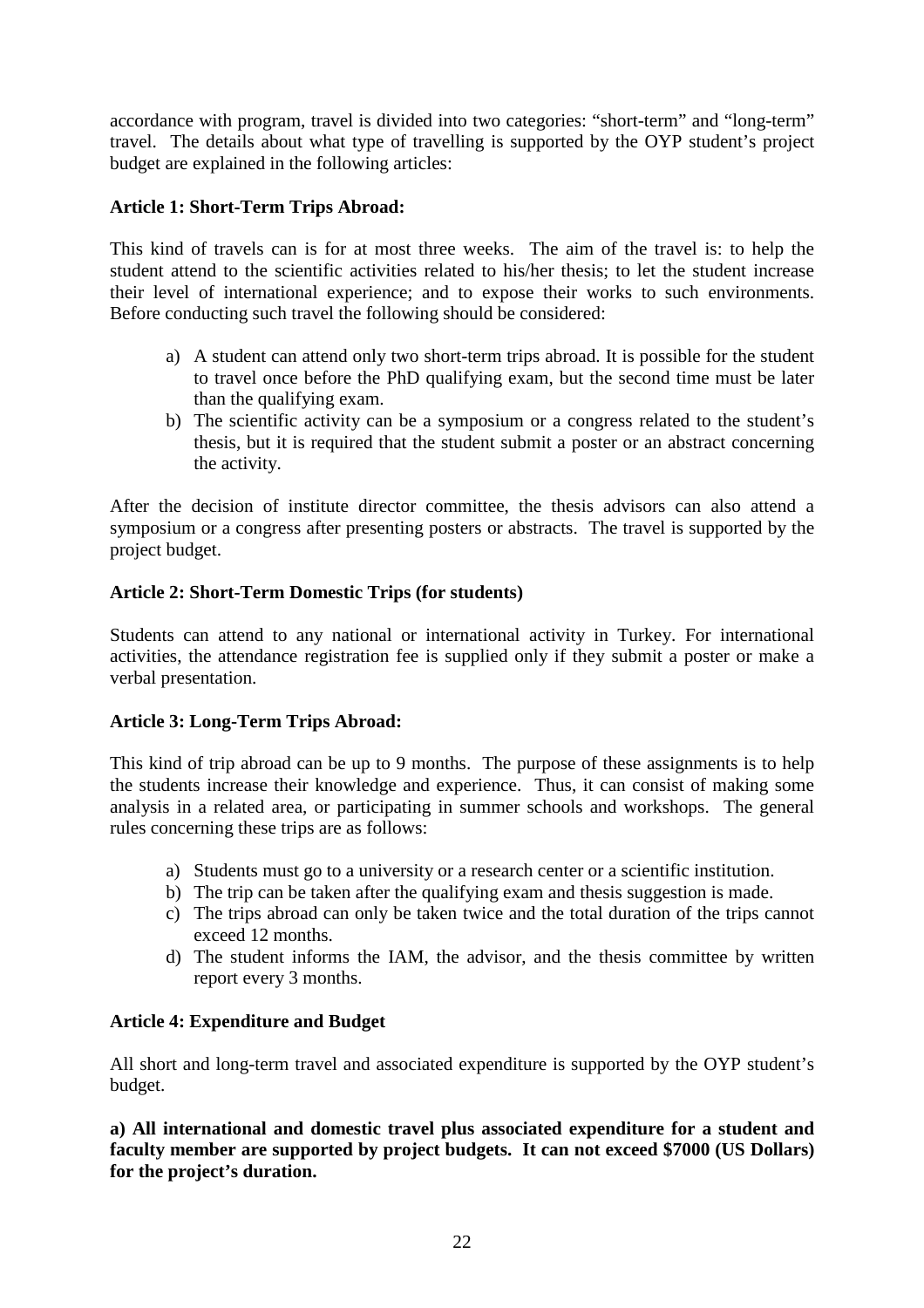accordance with program, travel is divided into two categories: "short-term" and "long-term" travel. The details about what type of travelling is supported by the OYP student's project budget are explained in the following articles:

#### **Article 1: Short-Term Trips Abroad:**

This kind of travels can is for at most three weeks. The aim of the travel is: to help the student attend to the scientific activities related to his/her thesis; to let the student increase their level of international experience; and to expose their works to such environments. Before conducting such travel the following should be considered:

- a) A student can attend only two short-term trips abroad. It is possible for the student to travel once before the PhD qualifying exam, but the second time must be later than the qualifying exam.
- b) The scientific activity can be a symposium or a congress related to the student's thesis, but it is required that the student submit a poster or an abstract concerning the activity.

After the decision of institute director committee, the thesis advisors can also attend a symposium or a congress after presenting posters or abstracts. The travel is supported by the project budget.

#### **Article 2: Short-Term Domestic Trips (for students)**

Students can attend to any national or international activity in Turkey. For international activities, the attendance registration fee is supplied only if they submit a poster or make a verbal presentation.

#### **Article 3: Long-Term Trips Abroad:**

This kind of trip abroad can be up to 9 months. The purpose of these assignments is to help the students increase their knowledge and experience. Thus, it can consist of making some analysis in a related area, or participating in summer schools and workshops. The general rules concerning these trips are as follows:

- a) Students must go to a university or a research center or a scientific institution.
- b) The trip can be taken after the qualifying exam and thesis suggestion is made.
- c) The trips abroad can only be taken twice and the total duration of the trips cannot exceed 12 months.
- d) The student informs the IAM, the advisor, and the thesis committee by written report every 3 months.

#### **Article 4: Expenditure and Budget**

All short and long-term travel and associated expenditure is supported by the OYP student's budget.

**a) All international and domestic travel plus associated expenditure for a student and faculty member are supported by project budgets. It can not exceed \$7000 (US Dollars) for the project's duration.**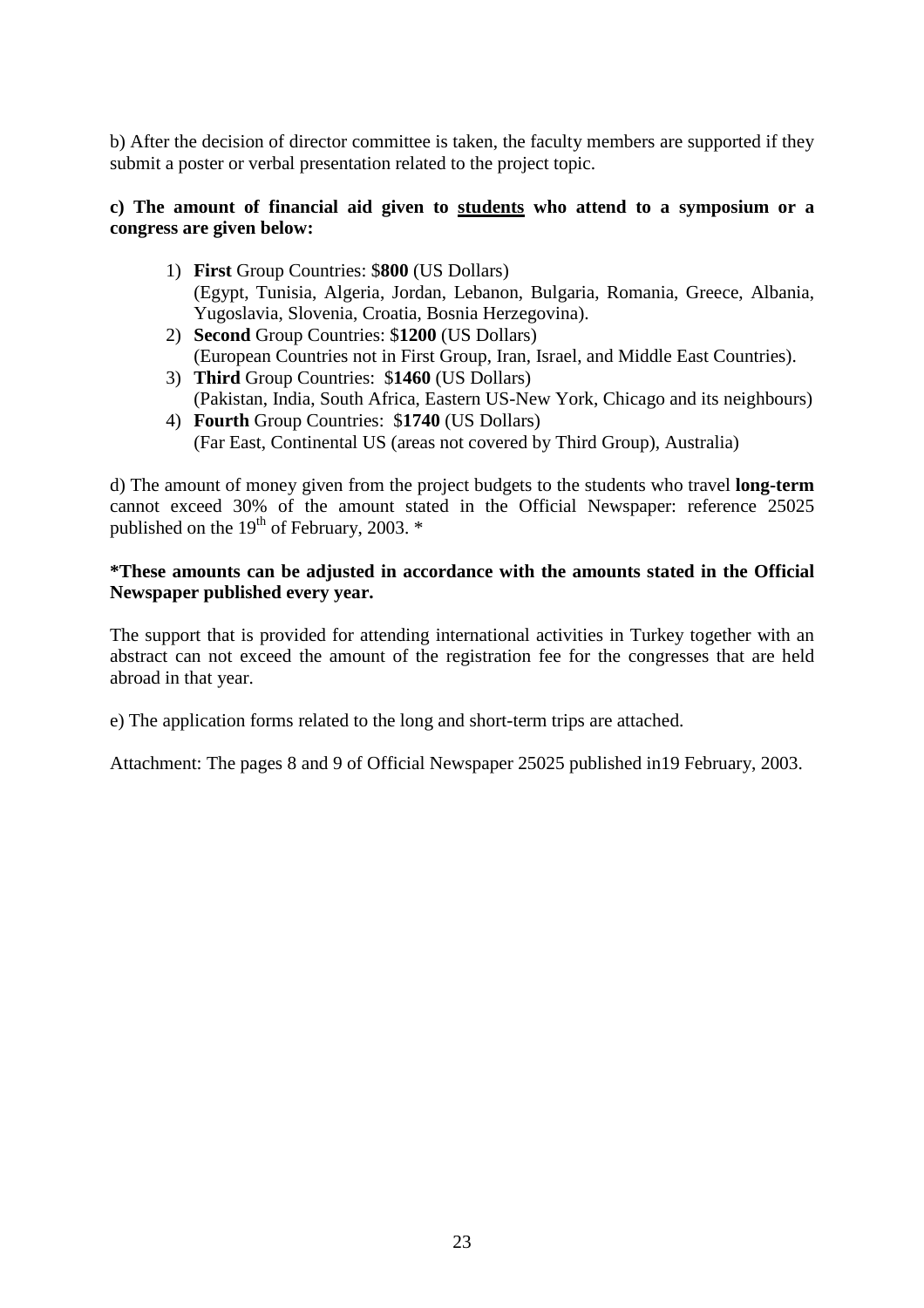b) After the decision of director committee is taken, the faculty members are supported if they submit a poster or verbal presentation related to the project topic.

#### **c) The amount of financial aid given to students who attend to a symposium or a congress are given below:**

- 1) **First** Group Countries: \$**800** (US Dollars) (Egypt, Tunisia, Algeria, Jordan, Lebanon, Bulgaria, Romania, Greece, Albania, Yugoslavia, Slovenia, Croatia, Bosnia Herzegovina).
- 2) **Second** Group Countries: \$**1200** (US Dollars) (European Countries not in First Group, Iran, Israel, and Middle East Countries).
- 3) **Third** Group Countries: \$**1460** (US Dollars) (Pakistan, India, South Africa, Eastern US-New York, Chicago and its neighbours)
- 4) **Fourth** Group Countries: \$**1740** (US Dollars) (Far East, Continental US (areas not covered by Third Group), Australia)

d) The amount of money given from the project budgets to the students who travel **long-term**  cannot exceed 30% of the amount stated in the Official Newspaper: reference 25025 published on the  $19<sup>th</sup>$  of February, 2003.  $*$ 

#### **\*These amounts can be adjusted in accordance with the amounts stated in the Official Newspaper published every year.**

The support that is provided for attending international activities in Turkey together with an abstract can not exceed the amount of the registration fee for the congresses that are held abroad in that year.

e) The application forms related to the long and short-term trips are attached.

Attachment: The pages 8 and 9 of Official Newspaper 25025 published in19 February, 2003.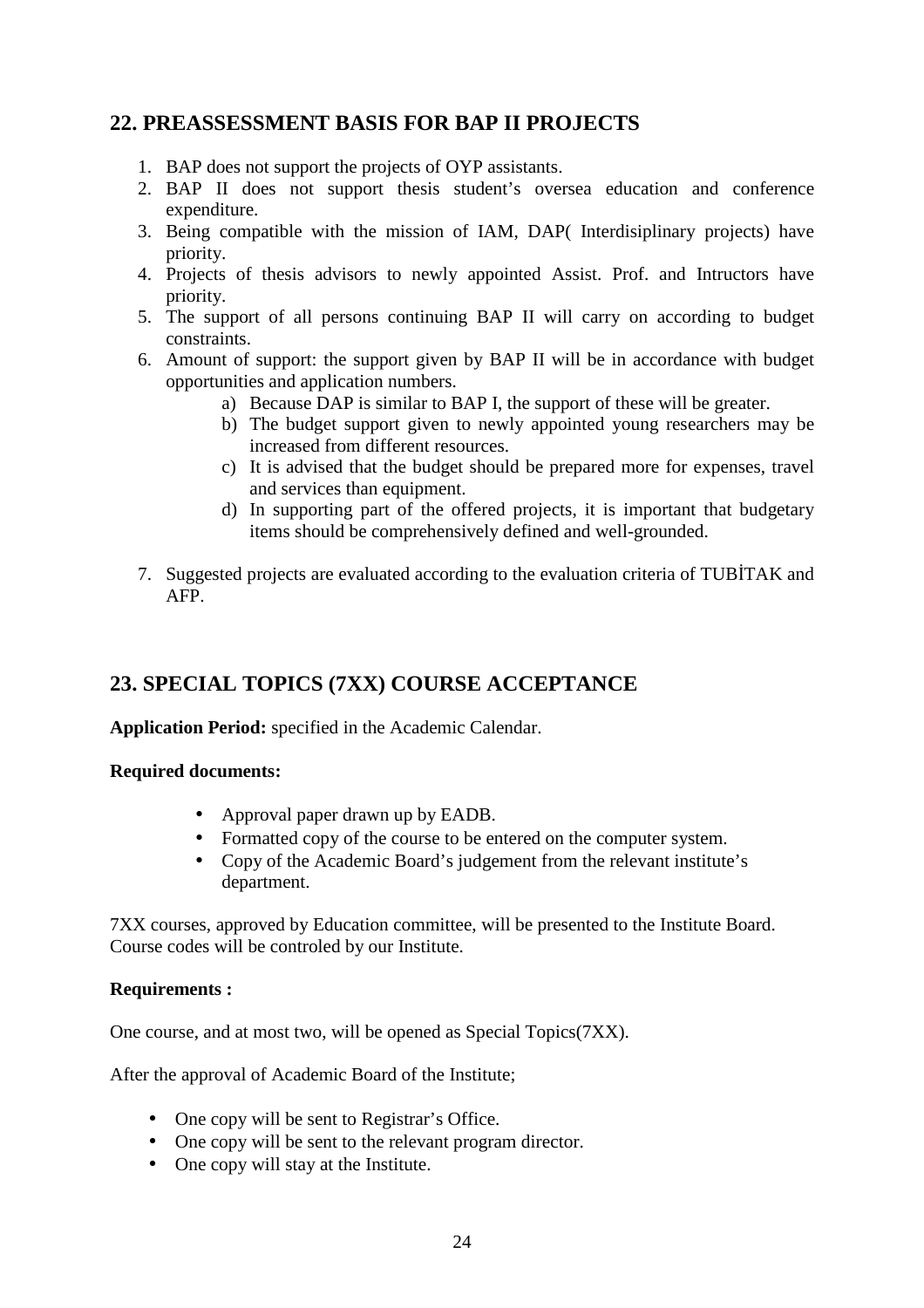## **22. PREASSESSMENT BASIS FOR BAP II PROJECTS**

- 1. BAP does not support the projects of OYP assistants.
- 2. BAP II does not support thesis student's oversea education and conference expenditure.
- 3. Being compatible with the mission of IAM, DAP( Interdisiplinary projects) have priority.
- 4. Projects of thesis advisors to newly appointed Assist. Prof. and Intructors have priority.
- 5. The support of all persons continuing BAP II will carry on according to budget constraints.
- 6. Amount of support: the support given by BAP II will be in accordance with budget opportunities and application numbers.
	- a) Because DAP is similar to BAP I, the support of these will be greater.
	- b) The budget support given to newly appointed young researchers may be increased from different resources.
	- c) It is advised that the budget should be prepared more for expenses, travel and services than equipment.
	- d) In supporting part of the offered projects, it is important that budgetary items should be comprehensively defined and well-grounded.
- 7. Suggested projects are evaluated according to the evaluation criteria of TUBITAK and AFP.

## **23. SPECIAL TOPICS (7XX) COURSE ACCEPTANCE**

**Application Period:** specified in the Academic Calendar.

#### **Required documents:**

- Approval paper drawn up by EADB.
- Formatted copy of the course to be entered on the computer system.
- Copy of the Academic Board's judgement from the relevant institute's department.

7XX courses, approved by Education committee, will be presented to the Institute Board. Course codes will be controled by our Institute.

#### **Requirements :**

One course, and at most two, will be opened as Special Topics(7XX).

After the approval of Academic Board of the Institute;

- One copy will be sent to Registrar's Office.
- One copy will be sent to the relevant program director.
- One copy will stay at the Institute.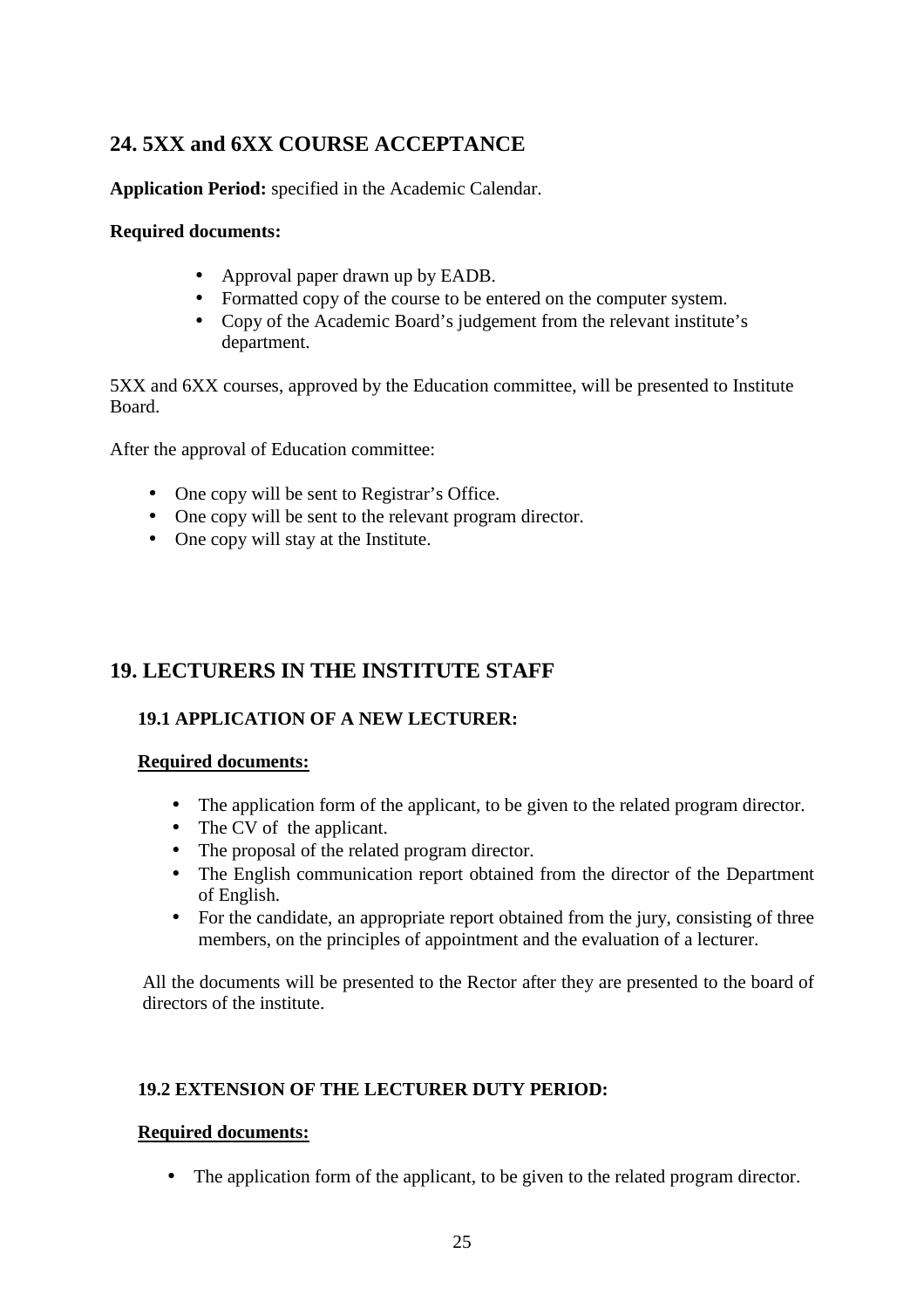## **24. 5XX and 6XX COURSE ACCEPTANCE**

**Application Period:** specified in the Academic Calendar.

#### **Required documents:**

- Approval paper drawn up by EADB.
- Formatted copy of the course to be entered on the computer system.
- Copy of the Academic Board's judgement from the relevant institute's department.

5XX and 6XX courses, approved by the Education committee, will be presented to Institute Board.

After the approval of Education committee:

- One copy will be sent to Registrar's Office.
- One copy will be sent to the relevant program director.
- One copy will stay at the Institute.

## **19. LECTURERS IN THE INSTITUTE STAFF**

#### **19.1 APPLICATION OF A NEW LECTURER:**

#### **Required documents:**

- The application form of the applicant, to be given to the related program director.
- The CV of the applicant.
- The proposal of the related program director.
- The English communication report obtained from the director of the Department of English.
- For the candidate, an appropriate report obtained from the jury, consisting of three members, on the principles of appointment and the evaluation of a lecturer.

All the documents will be presented to the Rector after they are presented to the board of directors of the institute.

#### **19.2 EXTENSION OF THE LECTURER DUTY PERIOD:**

#### **Required documents:**

• The application form of the applicant, to be given to the related program director.